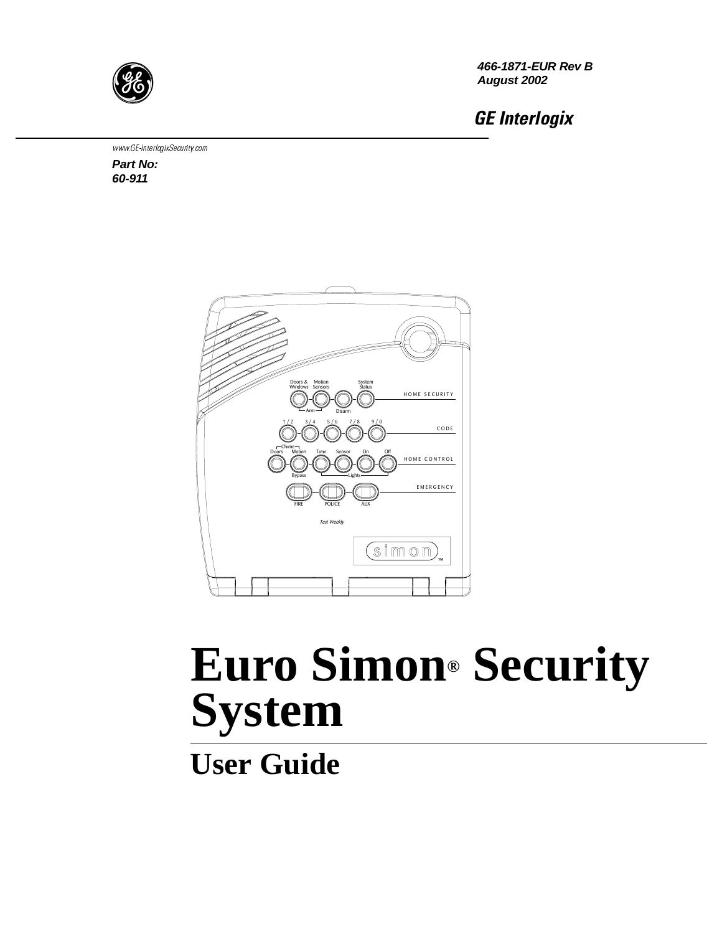

**466-1871-EUR Rev B August 2002**

GE Interlogix

www.GE-InterlogixSecurity.com

**Part No: 60-911** 



# **Euro Simon® Security System**

**User Guide**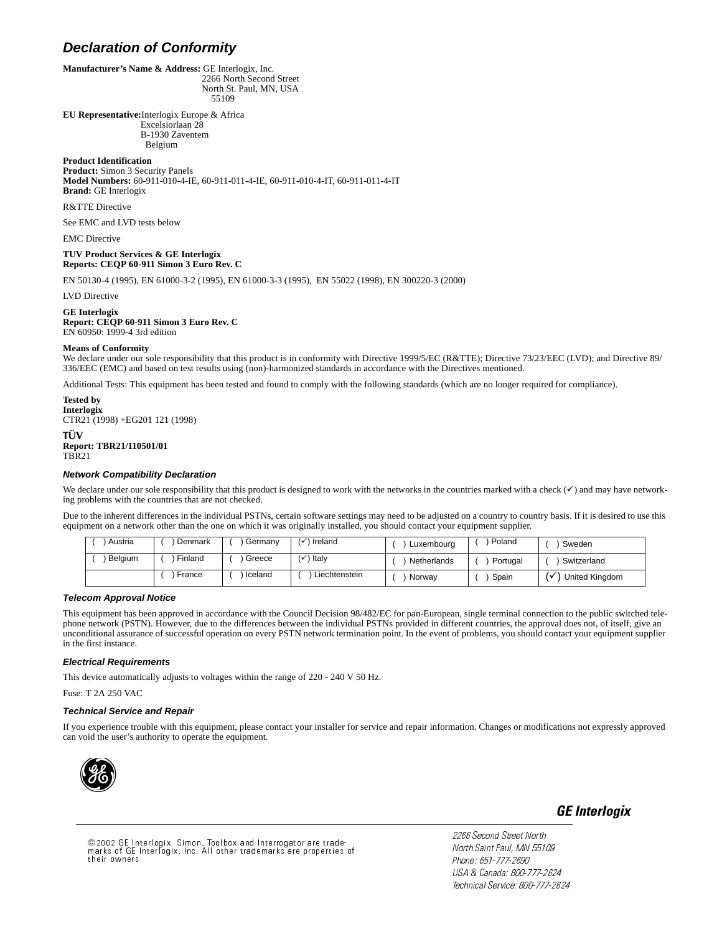# **Declaration of Conformity**

**Manufacturer's Name & Address:** GE Interlogix, Inc. 2266 North Second Street

North St. Paul, MN, USA

55109

**EU Representative:**Interlogix Europe & Africa

 Excelsiorlaan 28 B-1930 Zaventem

Belgium

### **Product Identification**

**Product:** Simon 3 Security Panels **Model Numbers:** 60-911-010-4-IE, 60-911-011-4-IE, 60-911-010-4-IT, 60-911-011-4-IT **Brand:** GE Interlogix

R&TTE Directive

See EMC and LVD tests below

EMC Directive

### **TUV Product Services & GE Interlogix Reports: CEQP 60-911 Simon 3 Euro Rev. C**

EN 50130-4 (1995), EN 61000-3-2 (1995), EN 61000-3-3 (1995), EN 55022 (1998), EN 300220-3 (2000)

LVD Directive

**GE Interlogix Report: CEQP 60-911 Simon 3 Euro Rev. C** EN 60950: 1999-4 3rd edition

### **Means of Conformity**

We declare under our sole responsibility that this product is in conformity with Directive 1999/5/EC (R&TTE); Directive 73/23/EEC (LVD); and Directive 89/ 336/EEC (EMC) and based on test results using (non)-harmonized standards in accordance with the Directives mentioned.

Additional Tests: This equipment has been tested and found to comply with the following standards (which are no longer required for compliance).

**Tested by Interlogix** CTR21 (1998) +EG201 121 (1998) **TÜV**

**Report: TBR21/110501/01** TBR21

### **Network Compatibility Declaration**

We declare under our sole responsibility that this product is designed to work with the networks in the countries marked with a check  $(\checkmark)$  and may have networking problems with the countries that are not checked.

Due to the inherent differences in the individual PSTNs, certain software settings may need to be adjusted on a country to country basis. If it is desired to use this equipment on a network other than the one on which it was originally installed, you should contact your equipment supplier.

| Austria | Denmark | Germany | (✓) Ireland   | Luxembourg  | Poland   | Sweden         |
|---------|---------|---------|---------------|-------------|----------|----------------|
| Belgium | Finland | Greece  | ′√) Italy     | Netherlands | Portugal | Switzerland    |
|         | France  | Iceland | Liechtenstein | Norway      | Spain    | United Kingdom |

**Telecom Approval Notice**

This equipment has been approved in accordance with the Council Decision 98/482/EC for pan-European, single terminal connection to the public switched telephone network (PSTN). However, due to the differences between the individual PSTNs provided in different countries, the approval does not, of itself, give an unconditional assurance of successful operation on every PSTN network termination point. In the event of problems, you should contact your equipment supplier in the first instance.

### **Electrical Requirements**

This device automatically adjusts to voltages within the range of 220 - 240 V 50 Hz.

Fuse: T 2A 250 VAC

### **Technical Service and Repair**

If you experience trouble with this equipment, please contact your installer for service and repair information. Changes or modifications not expressly approved can void the user's authority to operate the equipment.





©2002 GE Interlogix. Simon, Toolbox and Interrogator are trade-<br>marks of GE Interlogix, Inc. All other trademarks are properties of their owners

2266 Second Street North North Saint Paul, MN 55109 Phone: 651-777-2690 USA & Canada: 800-777-2624 Technical Service: 800-777-2624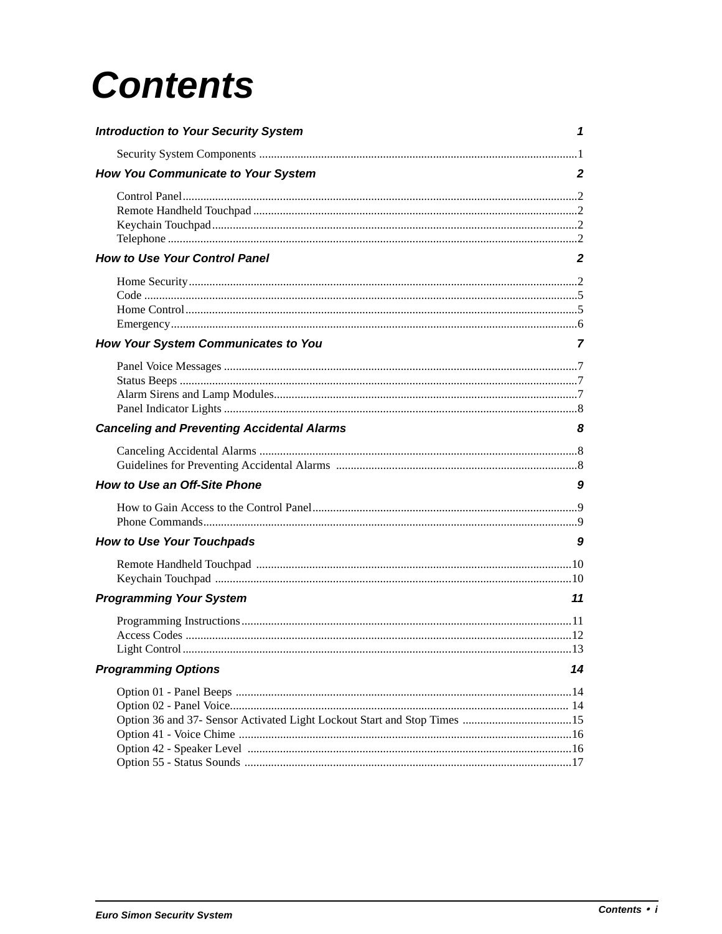# **Contents**

| <b>Introduction to Your Security System</b>       | 1              |
|---------------------------------------------------|----------------|
|                                                   |                |
| How You Communicate to Your System                | $\overline{2}$ |
|                                                   |                |
| <b>How to Use Your Control Panel</b>              | $\overline{2}$ |
|                                                   |                |
| How Your System Communicates to You               | 7              |
|                                                   |                |
| <b>Canceling and Preventing Accidental Alarms</b> | 8              |
|                                                   |                |
| <b>How to Use an Off-Site Phone</b>               | 9              |
|                                                   |                |
| <b>How to Use Your Touchpads</b>                  | 9              |
|                                                   |                |
| <b>Programming Your System</b>                    | 11             |
|                                                   |                |
| <b>Programming Options</b>                        | 14             |
|                                                   |                |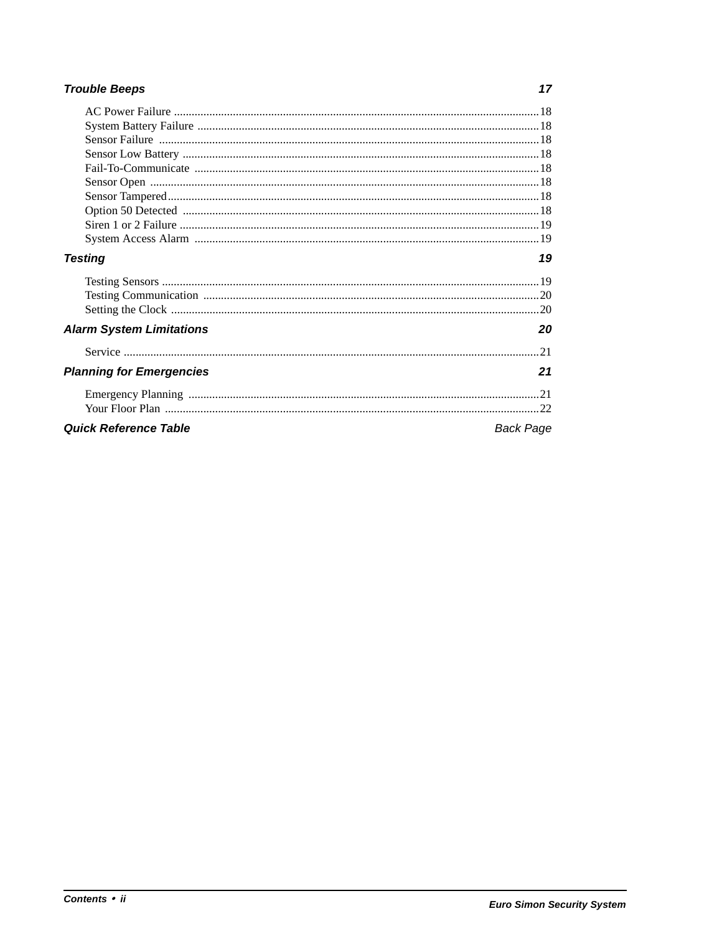# **Trouble Beeps**

| <b>Testing</b>                  | 19        |
|---------------------------------|-----------|
|                                 |           |
|                                 |           |
|                                 |           |
| <b>Alarm System Limitations</b> | 20        |
|                                 | 21        |
| <b>Planning for Emergencies</b> | 21        |
|                                 |           |
|                                 |           |
| <b>Quick Reference Table</b>    | Back Page |

### $17$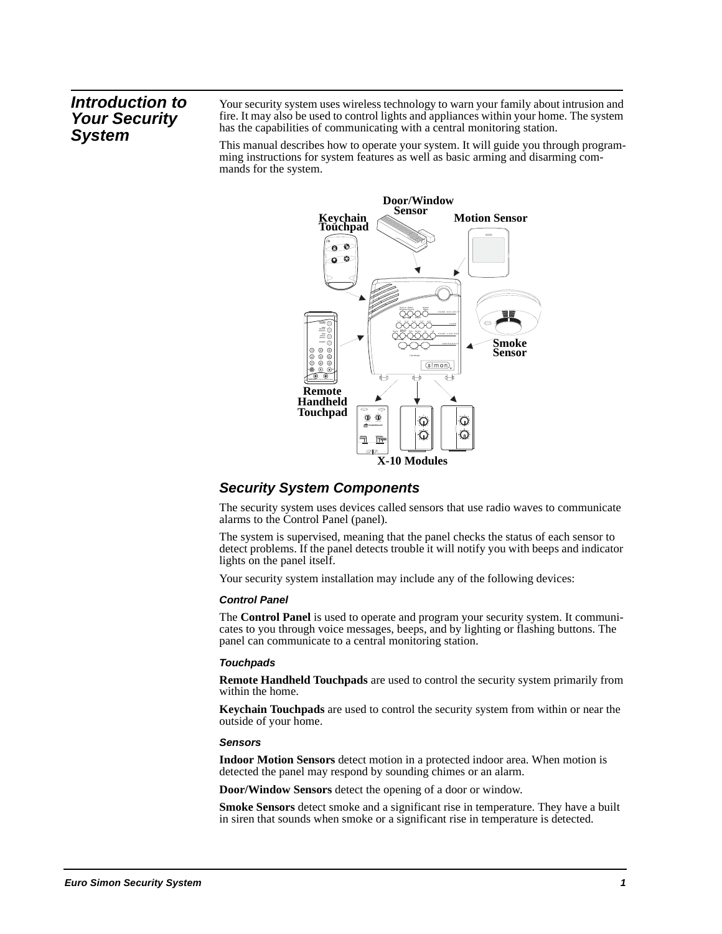# **Introduction to Your Security System**

Your security system uses wireless technology to warn your family about intrusion and fire. It may also be used to control lights and appliances within your home. The system has the capabilities of communicating with a central monitoring station.

This manual describes how to operate your system. It will guide you through programming instructions for system features as well as basic arming and disarming commands for the system.



# **Security System Components**

The security system uses devices called sensors that use radio waves to communicate alarms to the Control Panel (panel).

The system is supervised, meaning that the panel checks the status of each sensor to detect problems. If the panel detects trouble it will notify you with beeps and indicator lights on the panel itself.

Your security system installation may include any of the following devices:

### **Control Panel**

The **Control Panel** is used to operate and program your security system. It communicates to you through voice messages, beeps, and by lighting or flashing buttons. The panel can communicate to a central monitoring station.

### **Touchpads**

**Remote Handheld Touchpads** are used to control the security system primarily from within the home.

**Keychain Touchpads** are used to control the security system from within or near the outside of your home.

### **Sensors**

**Indoor Motion Sensors** detect motion in a protected indoor area. When motion is detected the panel may respond by sounding chimes or an alarm.

**Door/Window Sensors** detect the opening of a door or window.

**Smoke Sensors** detect smoke and a significant rise in temperature. They have a built in siren that sounds when smoke or a significant rise in temperature is detected.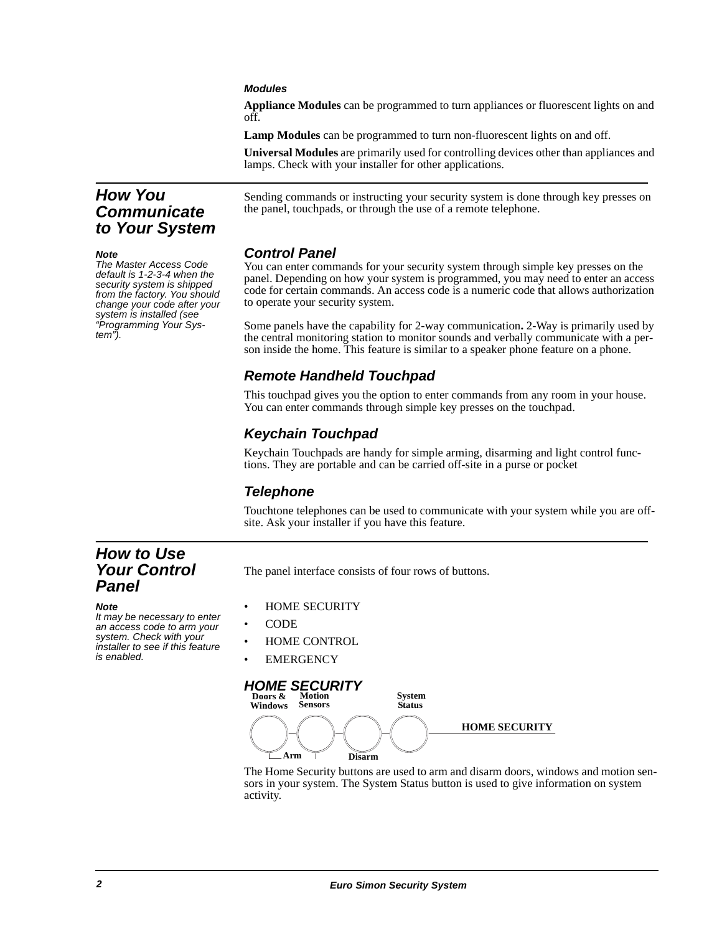### **Modules**

**Appliance Modules** can be programmed to turn appliances or fluorescent lights on and off.

**Lamp Modules** can be programmed to turn non-fluorescent lights on and off.

**Universal Modules** are primarily used for controlling devices other than appliances and lamps. Check with your installer for other applications.

# **How You Communicate to Your System**

### **Note**

The Master Access Code default is 1-2-3-4 when the security system is shipped from the factory. You should change your code after your system is installed (see "Programming Your System").

Sending commands or instructing your security system is done through key presses on the panel, touchpads, or through the use of a remote telephone.

### **Control Panel**

You can enter commands for your security system through simple key presses on the panel. Depending on how your system is programmed, you may need to enter an access code for certain commands. An access code is a numeric code that allows authorization to operate your security system.

Some panels have the capability for 2-way communication**.** 2-Way is primarily used by the central monitoring station to monitor sounds and verbally communicate with a person inside the home. This feature is similar to a speaker phone feature on a phone.

# **Remote Handheld Touchpad**

This touchpad gives you the option to enter commands from any room in your house. You can enter commands through simple key presses on the touchpad.

# **Keychain Touchpad**

Keychain Touchpads are handy for simple arming, disarming and light control functions. They are portable and can be carried off-site in a purse or pocket

# **Telephone**

Touchtone telephones can be used to communicate with your system while you are offsite. Ask your installer if you have this feature.

# **How to Use Your Control Panel**

### **Note**

It may be necessary to enter an access code to arm your system. Check with your installer to see if this feature is enabled.

The panel interface consists of four rows of buttons.

- HOME SECURITY
- CODE
- HOME CONTROL
- **EMERGENCY**



The Home Security buttons are used to arm and disarm doors, windows and motion sensors in your system. The System Status button is used to give information on system activity.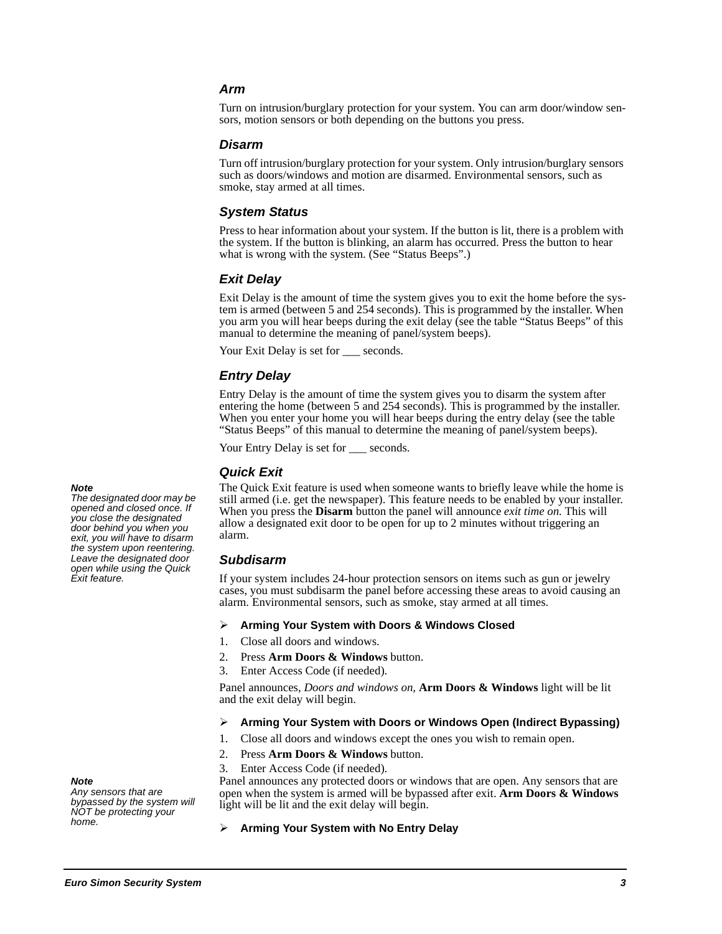### **Arm**

Turn on intrusion/burglary protection for your system. You can arm door/window sensors, motion sensors or both depending on the buttons you press.

### **Disarm**

Turn off intrusion/burglary protection for your system. Only intrusion/burglary sensors such as doors/windows and motion are disarmed. Environmental sensors, such as smoke, stay armed at all times.

### **System Status**

Press to hear information about your system. If the button is lit, there is a problem with the system. If the button is blinking, an alarm has occurred. Press the button to hear what is wrong with the system. (See "Status Beeps".)

### **Exit Delay**

Exit Delay is the amount of time the system gives you to exit the home before the system is armed (between 5 and 254 seconds). This is programmed by the installer. When you arm you will hear beeps during the exit delay (see the table "Status Beeps" of this manual to determine the meaning of panel/system beeps).

Your Exit Delay is set for \_\_\_ seconds.

### **Entry Delay**

Entry Delay is the amount of time the system gives you to disarm the system after entering the home (between 5 and 254 seconds). This is programmed by the installer. When you enter your home you will hear beeps during the entry delay (see the table "Status Beeps" of this manual to determine the meaning of panel/system beeps).

Your Entry Delay is set for \_\_\_ seconds.

### **Quick Exit**

The Quick Exit feature is used when someone wants to briefly leave while the home is still armed (i.e. get the newspaper). This feature needs to be enabled by your installer. When you press the **Disarm** button the panel will announce *exit time on.* This will allow a designated exit door to be open for up to 2 minutes without triggering an alarm.

### **Subdisarm**

If your system includes 24-hour protection sensors on items such as gun or jewelry cases, you must subdisarm the panel before accessing these areas to avoid causing an alarm. Environmental sensors, such as smoke, stay armed at all times.

#### $\blacktriangleright$ **Arming Your System with Doors & Windows Closed**

- 1. Close all doors and windows.
- 2. Press **Arm Doors & Windows** button.
- 3. Enter Access Code (if needed).

Panel announces, *Doors and windows on,* **Arm Doors & Windows** light will be lit and the exit delay will begin.

#### $\blacktriangleright$ **Arming Your System with Doors or Windows Open (Indirect Bypassing)**

- 1. Close all doors and windows except the ones you wish to remain open.
- 2. Press **Arm Doors & Windows** button.
- 3. Enter Access Code (if needed).

Panel announces any protected doors or windows that are open. Any sensors that are open when the system is armed will be bypassed after exit. **Arm Doors & Windows** light will be lit and the exit delay will begin.

#### $\blacktriangleright$ **Arming Your System with No Entry Delay**

### **Note**

The designated door may be opened and closed once. If you close the designated door behind you when you exit, you will have to disarm the system upon reentering. Leave the designated door open while using the Quick Exit feature.

### **Note**

Any sensors that are bypassed by the system will NOT be protecting your home.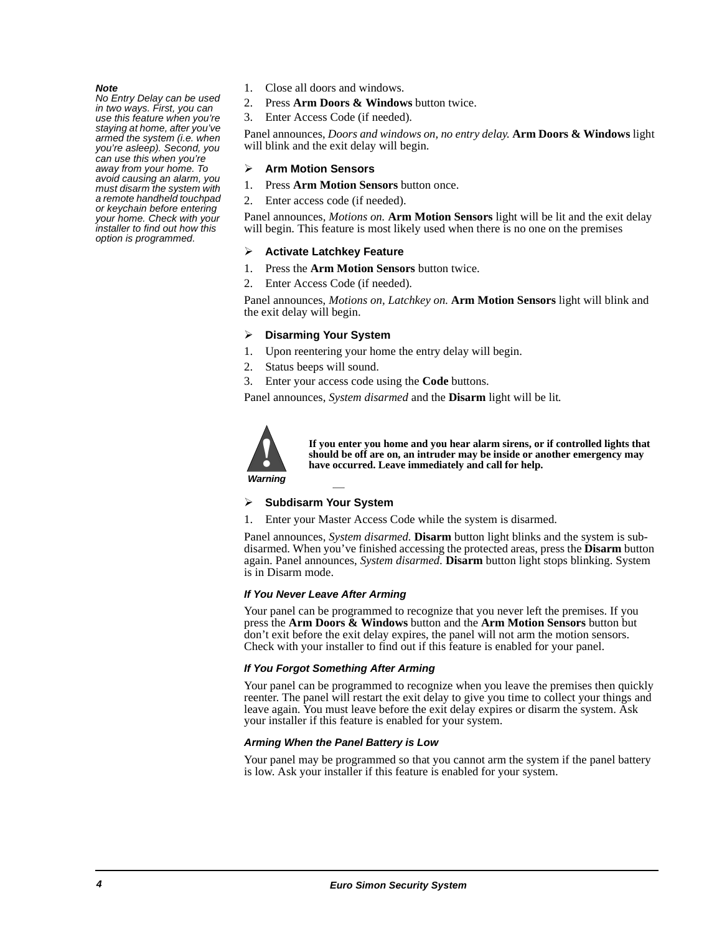### **Note**

No Entry Delay can be used in two ways. First, you can use this feature when you're staying at home, after you've armed the system (i.e. when you're asleep). Second, you can use this when you're away from your home. To avoid causing an alarm, you must disarm the system with a remote handheld touchpad or keychain before entering your home. Check with your installer to find out how this option is programmed.

- 1. Close all doors and windows.
- 2. Press **Arm Doors & Windows** button twice.
- 3. Enter Access Code (if needed).

Panel announces, *Doors and windows on, no entry delay.* **Arm Doors & Windows** light will blink and the exit delay will begin.

#### $\blacktriangleright$ **Arm Motion Sensors**

- 1. Press **Arm Motion Sensors** button once.
- 2. Enter access code (if needed).

Panel announces, *Motions on.* **Arm Motion Sensors** light will be lit and the exit delay will begin. This feature is most likely used when there is no one on the premises

#### $\blacktriangleright$ **Activate Latchkey Feature**

- 1. Press the **Arm Motion Sensors** button twice.
- 2. Enter Access Code (if needed).

Panel announces, *Motions on, Latchkey on.* **Arm Motion Sensors** light will blink and the exit delay will begin.

#### $\blacktriangleright$ **Disarming Your System**

- 1. Upon reentering your home the entry delay will begin.
- 2. Status beeps will sound.
- 3. Enter your access code using the **Code** buttons.

Panel announces, *System disarmed* and the **Disarm** light will be lit*.*



**If you enter you home and you hear alarm sirens, or if controlled lights that should be off are on, an intruder may be inside or another emergency may have occurred. Leave immediately and call for help.**

**Warning**

#### $\blacktriangleright$ **Subdisarm Your System**

1. Enter your Master Access Code while the system is disarmed.

Panel announces, *System disarmed.* **Disarm** button light blinks and the system is subdisarmed. When you've finished accessing the protected areas, press the **Disarm** button again. Panel announces, *System disarmed.* **Disarm** button light stops blinking. System is in Disarm mode.

### **If You Never Leave After Arming**

Your panel can be programmed to recognize that you never left the premises. If you press the **Arm Doors & Windows** button and the **Arm Motion Sensors** button but don't exit before the exit delay expires, the panel will not arm the motion sensors. Check with your installer to find out if this feature is enabled for your panel.

### **If You Forgot Something After Arming**

Your panel can be programmed to recognize when you leave the premises then quickly reenter. The panel will restart the exit delay to give you time to collect your things and leave again. You must leave before the exit delay expires or disarm the system. Ask your installer if this feature is enabled for your system.

### **Arming When the Panel Battery is Low**

Your panel may be programmed so that you cannot arm the system if the panel battery is low. Ask your installer if this feature is enabled for your system.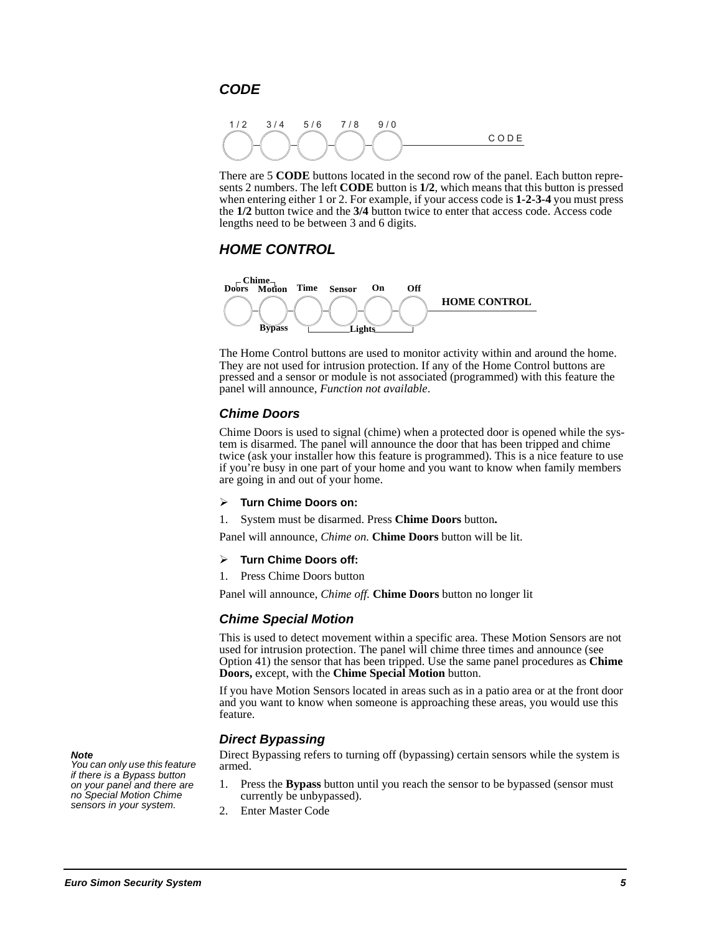**CODE**



There are 5 **CODE** buttons located in the second row of the panel. Each button represents 2 numbers. The left **CODE** button is **1/2**, which means that this button is pressed when entering either 1 or 2. For example, if your access code is **1-2-3-4** you must press the **1/2** button twice and the **3/4** button twice to enter that access code. Access code lengths need to be between 3 and 6 digits.

# **HOME CONTROL**



The Home Control buttons are used to monitor activity within and around the home. They are not used for intrusion protection. If any of the Home Control buttons are pressed and a sensor or module is not associated (programmed) with this feature the panel will announce, *Function not available*.

### **Chime Doors**

Chime Doors is used to signal (chime) when a protected door is opened while the system is disarmed. The panel will announce the door that has been tripped and chime twice (ask your installer how this feature is programmed). This is a nice feature to use if you're busy in one part of your home and you want to know when family members are going in and out of your home.

- $\blacktriangleright$ **Turn Chime Doors on:**
- 1. System must be disarmed. Press **Chime Doors** button**.**

Panel will announce, *Chime on.* **Chime Doors** button will be lit.

- $\blacktriangleright$ **Turn Chime Doors off:**
- 1. Press Chime Doors button

Panel will announce, *Chime off.* **Chime Doors** button no longer lit

### **Chime Special Motion**

This is used to detect movement within a specific area. These Motion Sensors are not used for intrusion protection. The panel will chime three times and announce (see Option 41) the sensor that has been tripped. Use the same panel procedures as **Chime Doors,** except, with the **Chime Special Motion** button.

If you have Motion Sensors located in areas such as in a patio area or at the front door and you want to know when someone is approaching these areas, you would use this feature.

### **Direct Bypassing**

Direct Bypassing refers to turning off (bypassing) certain sensors while the system is armed.

- 1. Press the **Bypass** button until you reach the sensor to be bypassed (sensor must currently be unbypassed).
- 2. Enter Master Code

### **Note**

You can only use this feature if there is a Bypass button on your panel and there are no Special Motion Chime sensors in your system.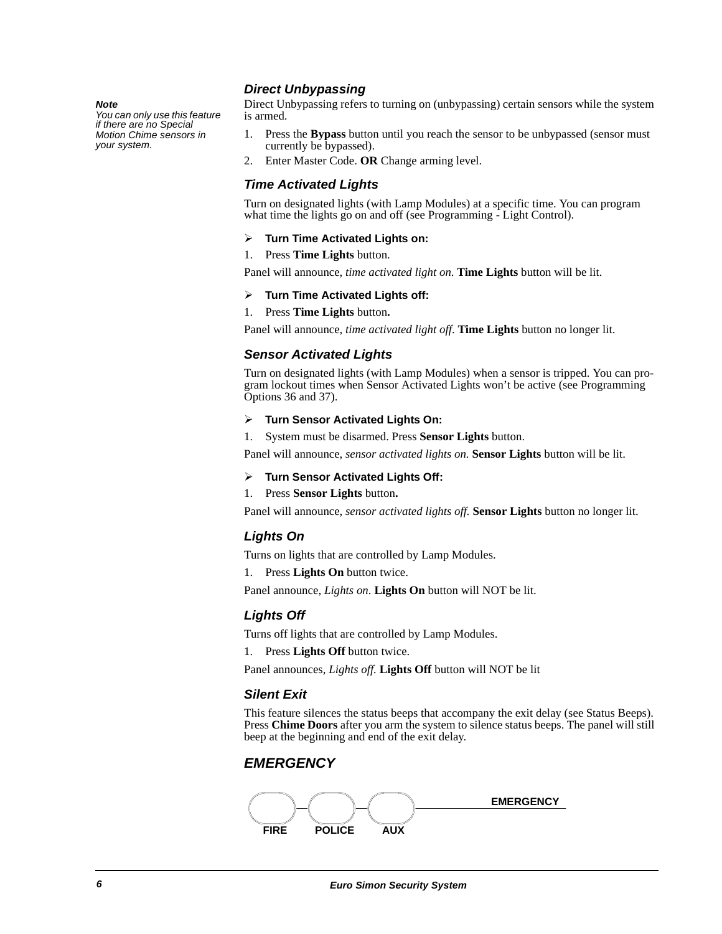### **Note**

You can only use this feature if there are no Special Motion Chime sensors in your system.

# **Direct Unbypassing**

Direct Unbypassing refers to turning on (unbypassing) certain sensors while the system is armed.

- 1. Press the **Bypass** button until you reach the sensor to be unbypassed (sensor must currently be bypassed).
- 2. Enter Master Code. **OR** Change arming level.

### **Time Activated Lights**

Turn on designated lights (with Lamp Modules) at a specific time. You can program what time the lights go on and off (see Programming - Light Control).

#### $\blacktriangleright$ **Turn Time Activated Lights on:**

1. Press **Time Lights** button.

Panel will announce, *time activated light on*. **Time Lights** button will be lit.

### -**Turn Time Activated Lights off:**

1. Press **Time Lights** button**.**

Panel will announce, *time activated light off*. **Time Lights** button no longer lit.

### **Sensor Activated Lights**

Turn on designated lights (with Lamp Modules) when a sensor is tripped. You can program lockout times when Sensor Activated Lights won't be active (see Programming Options 36 and 37).

### -**Turn Sensor Activated Lights On:**

1. System must be disarmed. Press **Sensor Lights** button.

Panel will announce, *sensor activated lights on.* **Sensor Lights** button will be lit.

### -**Turn Sensor Activated Lights Off:**

1. Press **Sensor Lights** button**.**

Panel will announce, *sensor activated lights off.* **Sensor Lights** button no longer lit.

# **Lights On**

Turns on lights that are controlled by Lamp Modules.

1. Press **Lights On** button twice.

Panel announce, *Lights on*. **Lights On** button will NOT be lit.

# **Lights Off**

Turns off lights that are controlled by Lamp Modules.

1. Press **Lights Off** button twice.

Panel announces, *Lights off.* **Lights Off** button will NOT be lit

### **Silent Exit**

This feature silences the status beeps that accompany the exit delay (see Status Beeps). Press **Chime Doors** after you arm the system to silence status beeps. The panel will still beep at the beginning and end of the exit delay.

# **EMERGENCY**

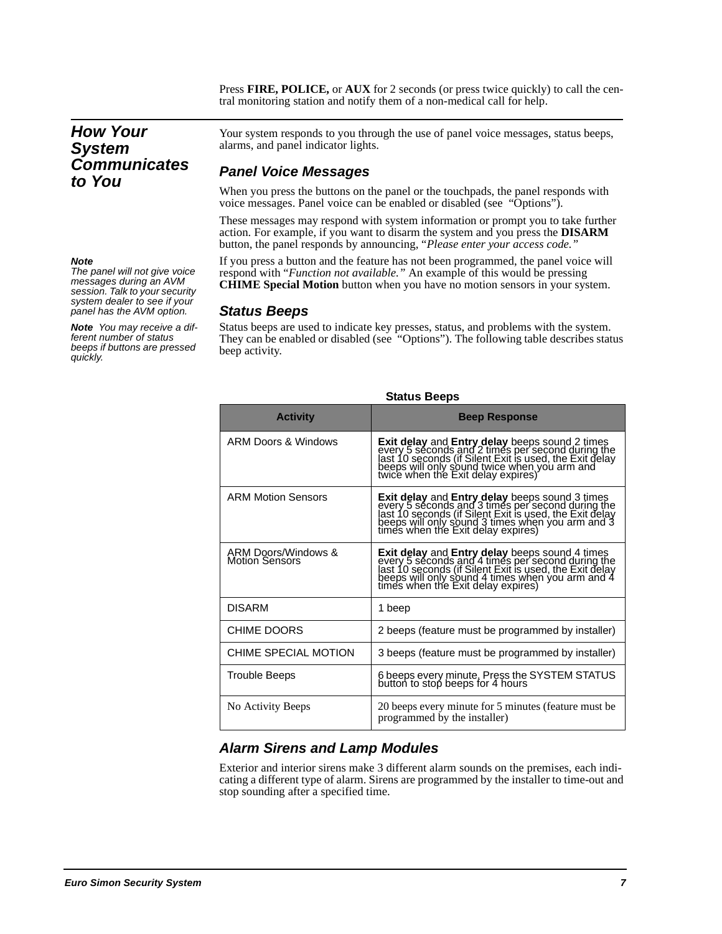Press **FIRE, POLICE,** or **AUX** for 2 seconds (or press twice quickly) to call the central monitoring station and notify them of a non-medical call for help.

# **How Your System Communicates to You**

### **Note**

The panel will not give voice messages during an AVM session. Talk to your security system dealer to see if your panel has the AVM option.

**Note** You may receive a different number of status beeps if buttons are pressed quickly.

Your system responds to you through the use of panel voice messages, status beeps, alarms, and panel indicator lights.

# **Panel Voice Messages**

When you press the buttons on the panel or the touchpads, the panel responds with voice messages. Panel voice can be enabled or disabled (see "Options").

These messages may respond with system information or prompt you to take further action. For example, if you want to disarm the system and you press the **DISARM** button, the panel responds by announcing, "*Please enter your access code."*

If you press a button and the feature has not been programmed, the panel voice will respond with "*Function not available."* An example of this would be pressing **CHIME Special Motion** button when you have no motion sensors in your system.

### **Status Beeps**

Status beeps are used to indicate key presses, status, and problems with the system. They can be enabled or disabled (see "Options"). The following table describes status beep activity.

| <b>Activity</b>                              | <b>Beep Response</b>                                                                                                                                                                                                                            |  |  |  |
|----------------------------------------------|-------------------------------------------------------------------------------------------------------------------------------------------------------------------------------------------------------------------------------------------------|--|--|--|
| ARM Doors & Windows                          | Exit delay and Entry delay beeps sound 2 times<br>every 5 seconds and 2 times per second during the<br>last 10 seconds (if Silent Exit is used, the Exit delay<br>beeps will only sound twice when you arm and<br>twice when the Exit dela      |  |  |  |
| <b>ARM Motion Sensors</b>                    | <b>Exit delay and Entry delay</b> beeps sound 3 times<br>every 5 seconds and 3 times per second during the<br>last 10 seconds (if Silent Exit is used, the Exit delay<br>beeps will only sound 3 times when you arm and 3<br>times when the Exi |  |  |  |
| ARM Doors/Windows &<br><b>Motion Sensors</b> | Exit delay and Entry delay beeps sound 4 times<br>every 5 seconds and 4 times per second during the<br>last 10 seconds (if Silent Exit is used, the Exit delay<br>beeps will only sound 4 times when you arm and 4<br>times when the Exit       |  |  |  |
| DISARM                                       | 1 beep                                                                                                                                                                                                                                          |  |  |  |
| CHIME DOORS                                  | 2 beeps (feature must be programmed by installer)                                                                                                                                                                                               |  |  |  |
| CHIME SPECIAL MOTION                         | 3 beeps (feature must be programmed by installer)                                                                                                                                                                                               |  |  |  |
| <b>Trouble Beeps</b>                         | 6 beeps every minute. Press the SYSTEM STATUS<br>button to stop beeps for 4 hours                                                                                                                                                               |  |  |  |
| No Activity Beeps                            | 20 beeps every minute for 5 minutes (feature must be<br>programmed by the installer)                                                                                                                                                            |  |  |  |

### **Status Beeps**

# **Alarm Sirens and Lamp Modules**

Exterior and interior sirens make 3 different alarm sounds on the premises, each indicating a different type of alarm. Sirens are programmed by the installer to time-out and stop sounding after a specified time.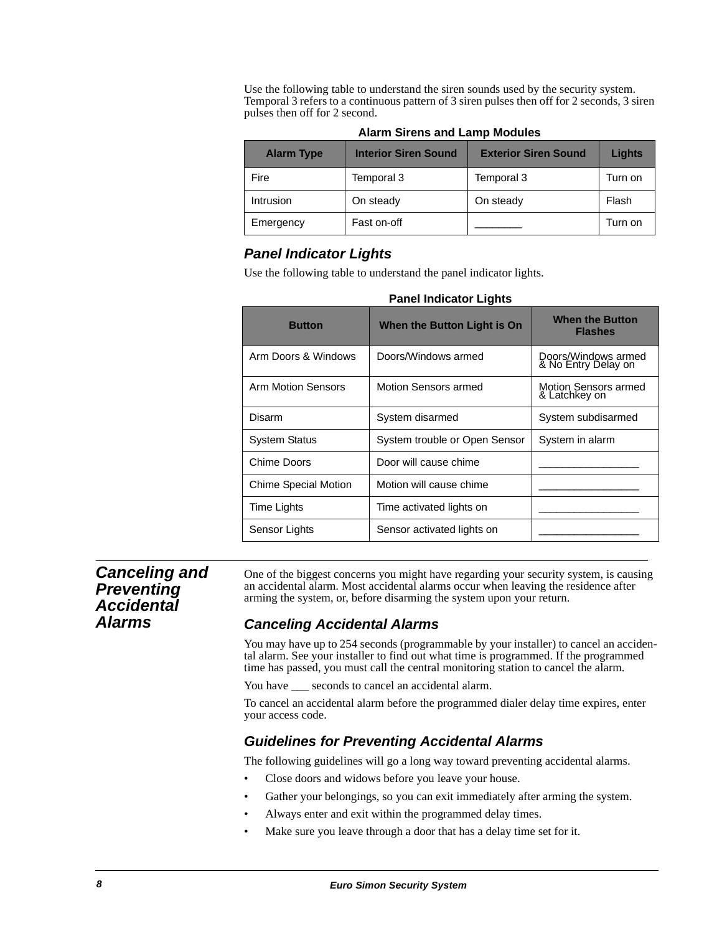Use the following table to understand the siren sounds used by the security system. Temporal 3 refers to a continuous pattern of 3 siren pulses then off for 2 seconds, 3 siren pulses then off for 2 second.

| <b>Alarm Type</b> | <b>Interior Siren Sound</b> | <b>Exterior Siren Sound</b> | Lights  |
|-------------------|-----------------------------|-----------------------------|---------|
| Fire              | Temporal 3                  | Temporal 3                  | Turn on |
| <b>Intrusion</b>  | On steady                   | On steady                   | Flash   |
| Emergency         | Fast on-off                 |                             | Turn on |

**Alarm Sirens and Lamp Modules**

# **Panel Indicator Lights**

Use the following table to understand the panel indicator lights.

| <b>Button</b>               | When the Button Light is On   | <b>When the Button</b><br><b>Flashes</b>   |
|-----------------------------|-------------------------------|--------------------------------------------|
| Arm Doors & Windows         | Doors/Windows armed           | Doors/Windows armed<br>& No Entry Delay on |
| Arm Motion Sensors          | Motion Sensors armed          | Motion Sensors armed<br>& Latchkey on      |
| Disarm                      | System disarmed               | System subdisarmed                         |
| <b>System Status</b>        | System trouble or Open Sensor | System in alarm                            |
| Chime Doors                 | Door will cause chime         |                                            |
| <b>Chime Special Motion</b> | Motion will cause chime       |                                            |
| Time Lights                 | Time activated lights on      |                                            |
| Sensor Lights               | Sensor activated lights on    |                                            |

### **Panel Indicator Lights**

# **Canceling and Preventing Accidental Alarms**

One of the biggest concerns you might have regarding your security system, is causing an accidental alarm. Most accidental alarms occur when leaving the residence after arming the system, or, before disarming the system upon your return.

# **Canceling Accidental Alarms**

You may have up to 254 seconds (programmable by your installer) to cancel an accidental alarm. See your installer to find out what time is programmed. If the programmed time has passed, you must call the central monitoring station to cancel the alarm.

You have seconds to cancel an accidental alarm.

To cancel an accidental alarm before the programmed dialer delay time expires, enter your access code.

# **Guidelines for Preventing Accidental Alarms**

The following guidelines will go a long way toward preventing accidental alarms.

- Close doors and widows before you leave your house.
- Gather your belongings, so you can exit immediately after arming the system.
- Always enter and exit within the programmed delay times.
- Make sure you leave through a door that has a delay time set for it.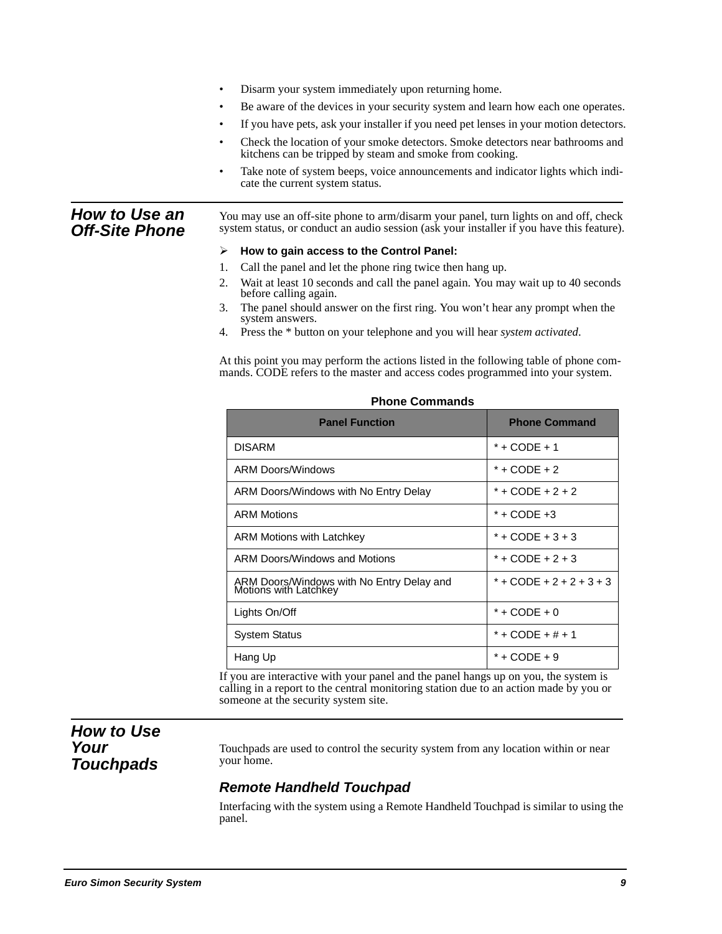- Disarm your system immediately upon returning home.
- Be aware of the devices in your security system and learn how each one operates.
- If you have pets, ask your installer if you need pet lenses in your motion detectors.
- Check the location of your smoke detectors. Smoke detectors near bathrooms and kitchens can be tripped by steam and smoke from cooking.
- Take note of system beeps, voice announcements and indicator lights which indicate the current system status.

# **How to Use an Off-Site Phone**

You may use an off-site phone to arm/disarm your panel, turn lights on and off, check system status, or conduct an audio session (ask your installer if you have this feature).

#### $\blacktriangleright$ **How to gain access to the Control Panel:**

- 1. Call the panel and let the phone ring twice then hang up.
- 2. Wait at least 10 seconds and call the panel again. You may wait up to 40 seconds before calling again.
- 3. The panel should answer on the first ring. You won't hear any prompt when the system answers.
- 4. Press the \* button on your telephone and you will hear *system activated*.

At this point you may perform the actions listed in the following table of phone commands. CODE refers to the master and access codes programmed into your system.

| <b>Panel Function</b>                                              | <b>Phone Command</b>      |
|--------------------------------------------------------------------|---------------------------|
| <b>DISARM</b>                                                      | $*$ + CODE + 1            |
| <b>ARM Doors/Windows</b>                                           | $*$ + CODE + 2            |
| ARM Doors/Windows with No Entry Delay                              | $*$ + CODE + 2 + 2        |
| <b>ARM Motions</b>                                                 | $*$ + CODE +3             |
| ARM Motions with Latchkey                                          | $*$ + CODE + 3 + 3        |
| ARM Doors/Windows and Motions                                      | $* + \text{CODE} + 2 + 3$ |
| ARM Doors/Windows with No Entry Delay and<br>Motions with Latchkey | * + CODE + 2 + 2 + 3 + 3  |
| Lights On/Off                                                      | $*$ + CODE + 0            |
| System Status                                                      | $* + \text{CODE} + # + 1$ |
| Hang Up                                                            | * + CODE + 9              |

**Phone Commands**

If you are interactive with your panel and the panel hangs up on you, the system is calling in a report to the central monitoring station due to an action made by you or someone at the security system site.

# **How to Use Your Touchpads**

Touchpads are used to control the security system from any location within or near your home.

# **Remote Handheld Touchpad**

Interfacing with the system using a Remote Handheld Touchpad is similar to using the panel.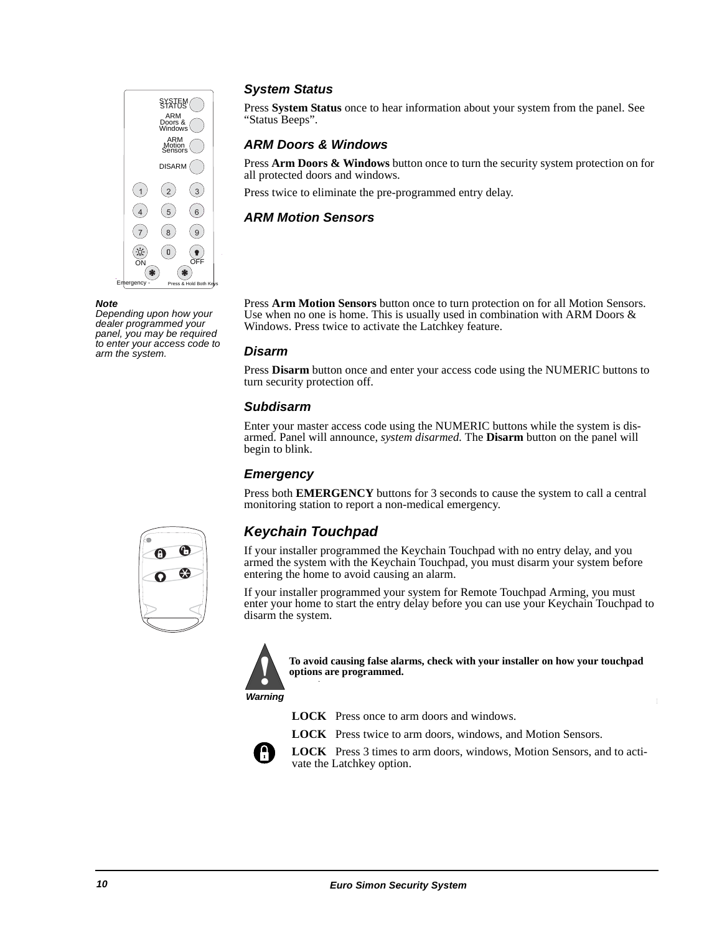

### **Note**

Depending upon how your dealer programmed your panel, you may be required to enter your access code to arm the system.

# **System Status**

Press **System Status** once to hear information about your system from the panel. See "Status Beeps".

# **ARM Doors & Windows**

Press **Arm Doors & Windows** button once to turn the security system protection on for all protected doors and windows.

Press twice to eliminate the pre-programmed entry delay.

### **ARM Motion Sensors**

Press **Arm Motion Sensors** button once to turn protection on for all Motion Sensors. Use when no one is home. This is usually used in combination with ARM Doors  $\&$ Windows. Press twice to activate the Latchkey feature.

### **Disarm**

Press **Disarm** button once and enter your access code using the NUMERIC buttons to turn security protection off.

### **Subdisarm**

Enter your master access code using the NUMERIC buttons while the system is disarmed. Panel will announce, *system disarmed.* The **Disarm** button on the panel will begin to blink.

# **Emergency**

Press both **EMERGENCY** buttons for 3 seconds to cause the system to call a central monitoring station to report a non-medical emergency.



# **Keychain Touchpad**

If your installer programmed the Keychain Touchpad with no entry delay, and you armed the system with the Keychain Touchpad, you must disarm your system before entering the home to avoid causing an alarm.

If your installer programmed your system for Remote Touchpad Arming, you must enter your home to start the entry delay before you can use your Keychain Touchpad to disarm the system.



**To avoid causing false alarms, check with your installer on how your touchpad options are programmed.**

**Warning**

**LOCK** Press once to arm doors and windows.

**LOCK** Press twice to arm doors, windows, and Motion Sensors.



**LOCK** Press 3 times to arm doors, windows, Motion Sensors, and to activate the Latchkey option.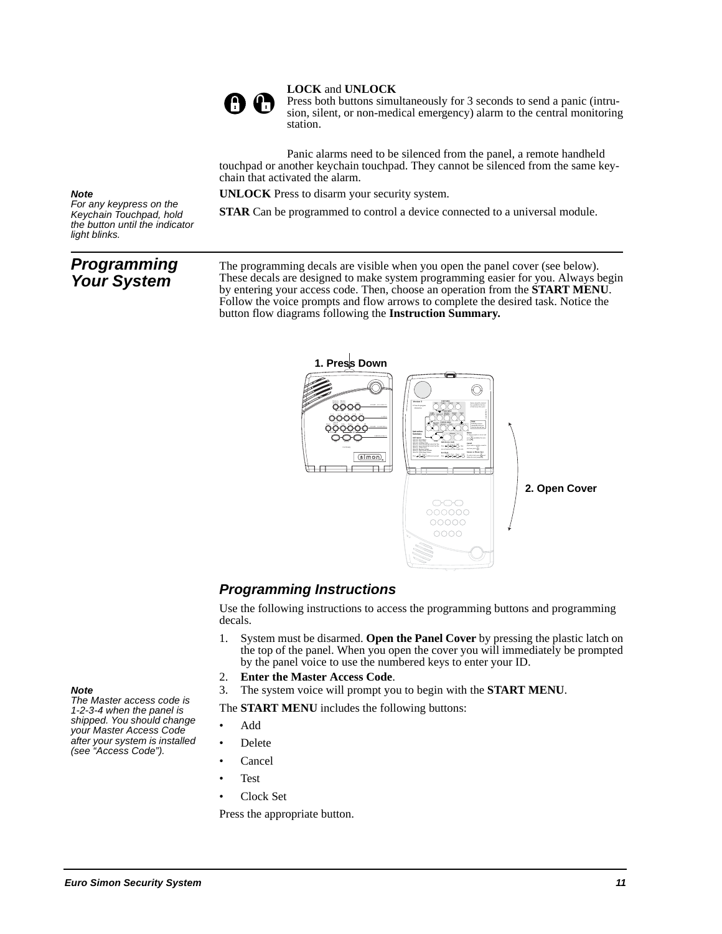

### **LOCK** and **UNLOCK**

Press both buttons simultaneously for 3 seconds to send a panic (intrusion, silent, or non-medical emergency) alarm to the central monitoring station.

Panic alarms need to be silenced from the panel, a remote handheld touchpad or another keychain touchpad. They cannot be silenced from the same keychain that activated the alarm.

**UNLOCK** Press to disarm your security system.

**STAR** Can be programmed to control a device connected to a universal module.

### **Note**

For any keypress on the Keychain Touchpad, hold the button until the indicator light blinks.

# **Programming Your System**

The programming decals are visible when you open the panel cover (see below). These decals are designed to make system programming easier for you. Always begin by entering your access code. Then, choose an operation from the **START MENU**. Follow the voice prompts and flow arrows to complete the desired task. Notice the button flow diagrams following the **Instruction Summary.**



# **Programming Instructions**

Use the following instructions to access the programming buttons and programming decals.

1. System must be disarmed. **Open the Panel Cover** by pressing the plastic latch on the top of the panel. When you open the cover you will immediately be prompted by the panel voice to use the numbered keys to enter your ID.

### 2. **Enter the Master Access Code**.

3. The system voice will prompt you to begin with the **START MENU**.

The **START MENU** includes the following buttons:

- Add
- Delete
- Cancel
- **Test**
- Clock Set

Press the appropriate button.

### **Note**

The Master access code is 1-2-3-4 when the panel is shipped. You should change your Master Access Code after your system is installed (see "Access Code").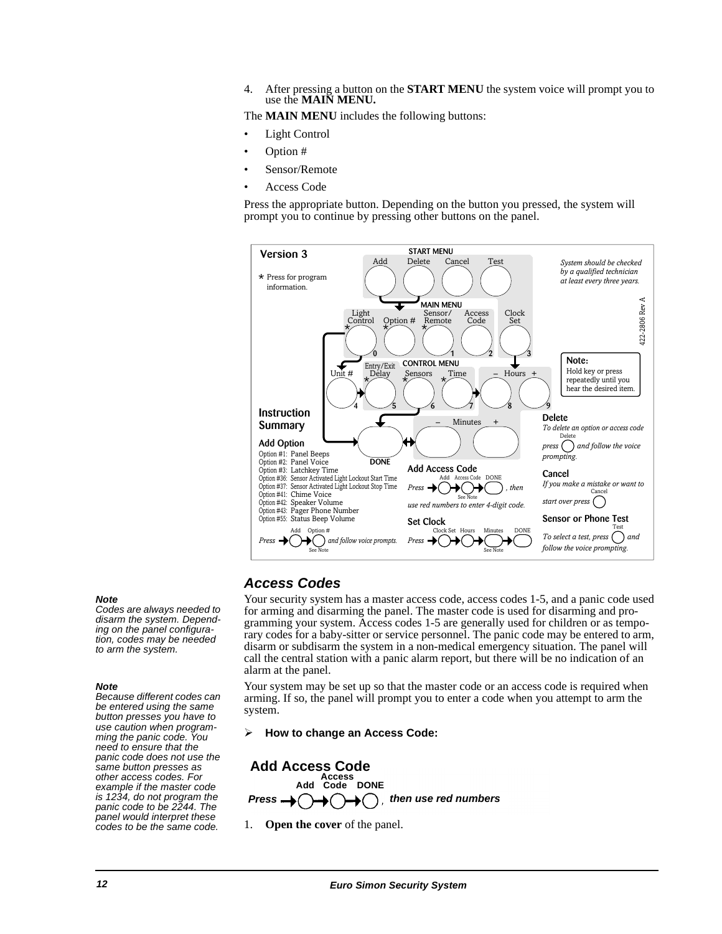4. After pressing a button on the **START MENU** the system voice will prompt you to use the **MAIN MENU.**

The **MAIN MENU** includes the following buttons:

- **Light Control**
- Option #
- Sensor/Remote
- Access Code

Press the appropriate button. Depending on the button you pressed, the system will prompt you to continue by pressing other buttons on the panel.



# **Access Codes**

Your security system has a master access code, access codes 1-5, and a panic code used for arming and disarming the panel. The master code is used for disarming and programming your system. Access codes 1-5 are generally used for children or as temporary codes for a baby-sitter or service personnel. The panic code may be entered to arm, disarm or subdisarm the system in a non-medical emergency situation. The panel will call the central station with a panic alarm report, but there will be no indication of an alarm at the panel.

Your system may be set up so that the master code or an access code is required when arming. If so, the panel will prompt you to enter a code when you attempt to arm the system.

 $\blacktriangleright$ **How to change an Access Code:**

**Press Add Code Access DONE then use red numbers Add Access Code**

1. **Open the cover** of the panel.

### **Note**

Codes are always needed to disarm the system. Depending on the panel configuration, codes may be needed to arm the system.

### **Note**

Because different codes can be entered using the same button presses you have to use caution when programming the panic code. You need to ensure that the panic code does not use the same button presses as other access codes. For example if the master code is 1234, do not program the panic code to be 2244. The panel would interpret these codes to be the same code.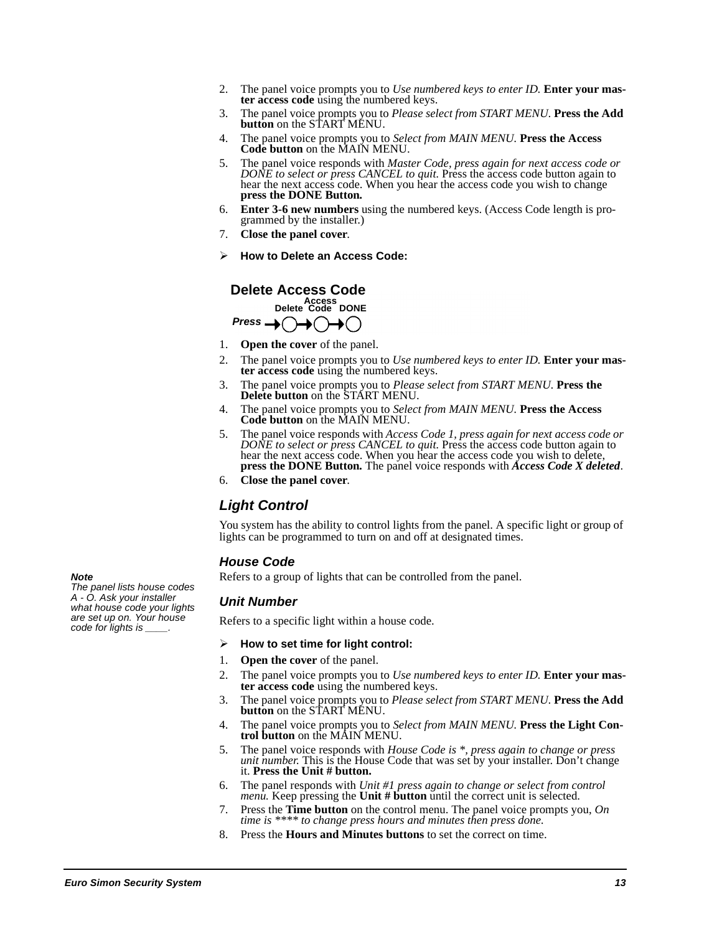- 2. The panel voice prompts you to *Use numbered keys to enter ID.* **Enter your master access code** using the numbered keys.
- 3. The panel voice prompts you to *Please select from START MENU.* **Press the Add button** on the START MENU.
- 4. The panel voice prompts you to *Select from MAIN MENU.* **Press the Access Code button** on the MAIN MENU.
- 5. The panel voice responds with *Master Code, press again for next access code or DONE to select or press CANCEL to quit.* Press the access code button again to hear the next access code. When you hear the access code you wish to change **press the DONE Button***.*
- 6. **Enter 3-6 new numbers** using the numbered keys. (Access Code length is programmed by the installer.)
- 7. **Close the panel cover**.
- -**How to Delete an Access Code:**

# $\mathsf{Press}\rightarrow\bigcirc\rightarrow\bigcirc\rightarrow\bigcirc\rightarrow\bigcirc$ **Delete Code Access DONE Delete Access Code**

- 1. **Open the cover** of the panel.
- 2. The panel voice prompts you to *Use numbered keys to enter ID.* **Enter your master access code** using the numbered keys.
- 3. The panel voice prompts you to *Please select from START MENU.* **Press the Delete button** on the START MENU.
- 4. The panel voice prompts you to *Select from MAIN MENU.* **Press the Access Code button** on the MAIN MENU.
- 5. The panel voice responds with *Access Code 1, press again for next access code or DONE to select or press CANCEL to quit.* Press the access code button again to hear the next access code. When you hear the access code you wish to delete, **press the DONE Button***.* The panel voice responds with *Access Code X deleted*.
- 6. **Close the panel cover**.

# **Light Control**

You system has the ability to control lights from the panel. A specific light or group of lights can be programmed to turn on and off at designated times.

### **House Code**

Refers to a group of lights that can be controlled from the panel.

### **Unit Number**

Refers to a specific light within a house code.

#### $\triangleright$ **How to set time for light control:**

- 1. **Open the cover** of the panel.
- 2. The panel voice prompts you to *Use numbered keys to enter ID.* **Enter your master access code** using the numbered keys.
- 3. The panel voice prompts you to *Please select from START MENU.* **Press the Add button** on the START MENU.
- 4. The panel voice prompts you to *Select from MAIN MENU.* **Press the Light Control button** on the MAIN MENU.
- 5. The panel voice responds with *House Code is \*, press again to change or press unit number.* This is the House Code that was set by your installer. Don't change it. **Press the Unit # button.**
- 6. The panel responds with *Unit #1 press again to change or select from control menu.* Keep pressing the **Unit # button** until the correct unit is selected.
- 7. Press the **Time button** on the control menu. The panel voice prompts you, *On time is \*\*\*\* to change press hours and minutes then press done.*
- 8. Press the **Hours and Minutes buttons** to set the correct on time.

**Note**  The panel lists house codes A - O. Ask your installer what house code your lights are set up on. Your house code for lights is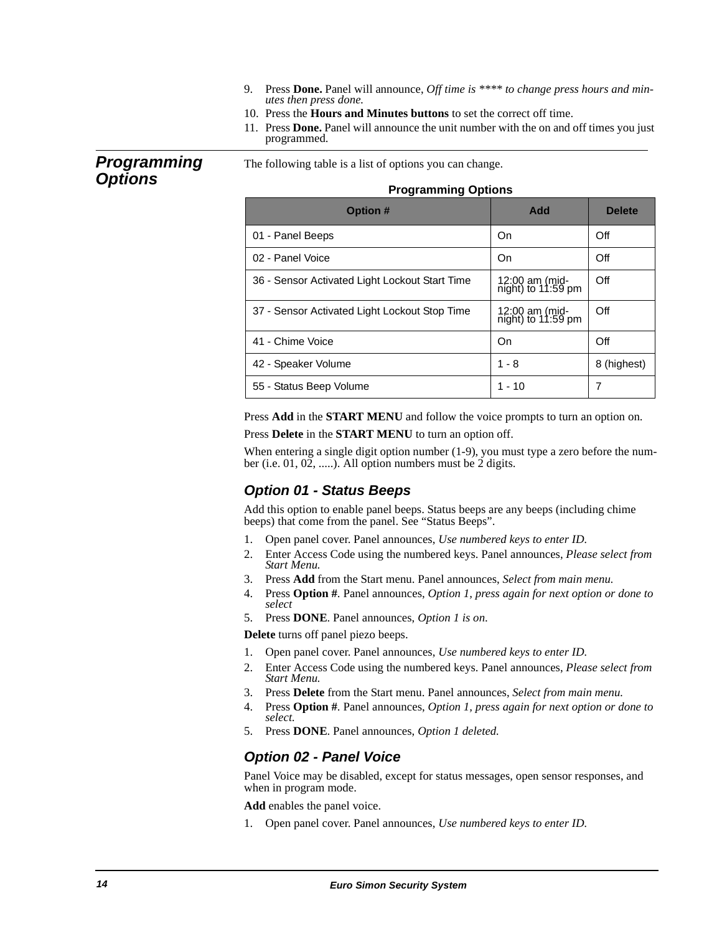- 9. Press **Done.** Panel will announce, *Off time is \*\*\*\* to change press hours and minutes then press done.*
- 10. Press the **Hours and Minutes buttons** to set the correct off time.
- 11. Press **Done.** Panel will announce the unit number with the on and off times you just programmed.

# **Programming Options**

The following table is a list of options you can change.

### **Programming Options**

| <b>Option #</b>                                | Add                                  | <b>Delete</b> |
|------------------------------------------------|--------------------------------------|---------------|
| 01 - Panel Beeps                               | On                                   | Off           |
| 02 - Panel Voice                               | On                                   | Off           |
| 36 - Sensor Activated Light Lockout Start Time | 12:00 am (mid-<br>night) to 11:59 pm | Off           |
| 37 - Sensor Activated Light Lockout Stop Time  | 12:00 am (mid-<br>night) to 11:59 pm | Off           |
| 41 - Chime Voice                               | On                                   | Off           |
| 42 - Speaker Volume                            | $1 - 8$                              | 8 (highest)   |
| 55 - Status Beep Volume                        | 1 - 10                               | 7             |

Press **Add** in the **START MENU** and follow the voice prompts to turn an option on.

Press **Delete** in the **START MENU** to turn an option off.

When entering a single digit option number  $(1-9)$ , you must type a zero before the number (i.e. 01, 02, .....). All option numbers must be 2 digits.

# **Option 01 - Status Beeps**

Add this option to enable panel beeps. Status beeps are any beeps (including chime beeps) that come from the panel. See "Status Beeps".

- 1. Open panel cover. Panel announces, *Use numbered keys to enter ID.*
- 2. Enter Access Code using the numbered keys. Panel announces, *Please select from Start Menu.*
- 3. Press **Add** from the Start menu. Panel announces, *Select from main menu.*
- 4. Press **Option #**. Panel announces, *Option 1, press again for next option or done to select*
- 5. Press **DONE**. Panel announces, *Option 1 is on*.

**Delete** turns off panel piezo beeps.

- 1. Open panel cover. Panel announces, *Use numbered keys to enter ID.*
- 2. Enter Access Code using the numbered keys. Panel announces, *Please select from Start Menu.*
- 3. Press **Delete** from the Start menu. Panel announces, *Select from main menu.*
- 4. Press **Option #**. Panel announces, *Option 1, press again for next option or done to select.*
- 5. Press **DONE**. Panel announces, *Option 1 deleted.*

# **Option 02 - Panel Voice**

Panel Voice may be disabled, except for status messages, open sensor responses, and when in program mode.

**Add** enables the panel voice.

1. Open panel cover. Panel announces, *Use numbered keys to enter ID.*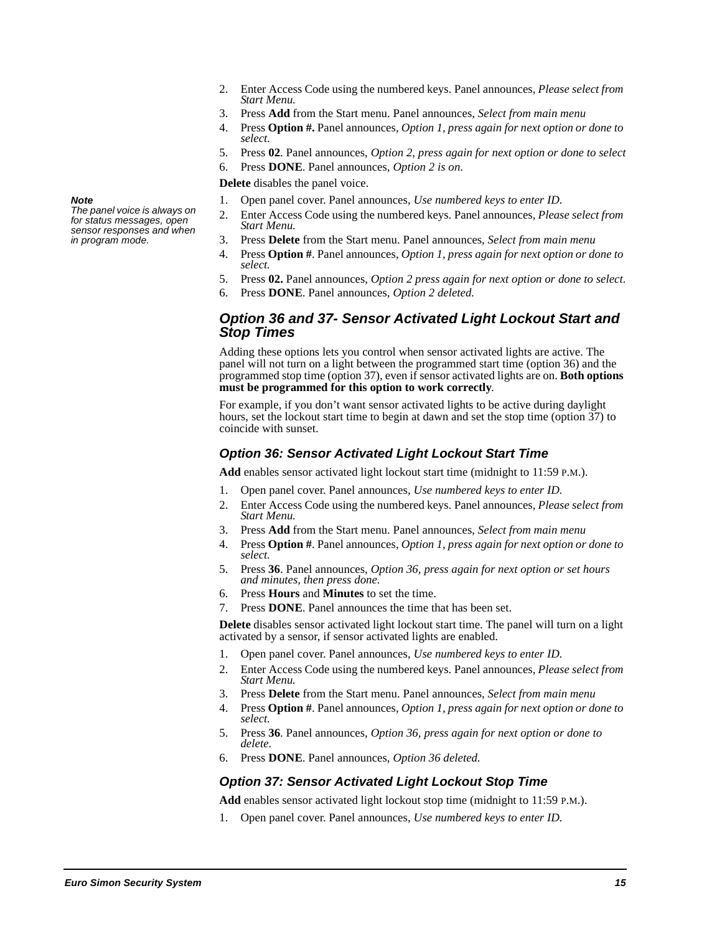- 2. Enter Access Code using the numbered keys. Panel announces, *Please select from Start Menu.*
- 3. Press **Add** from the Start menu. Panel announces, *Select from main menu*
- 4. Press **Option #.** Panel announces, *Option 1, press again for next option or done to select.*
- 5. Press **02**. Panel announces, *Option 2, press again for next option or done to select*
- 6. Press **DONE**. Panel announces, *Option 2 is on*.

**Delete** disables the panel voice.

- 1. Open panel cover. Panel announces, *Use numbered keys to enter ID.*
- 2. Enter Access Code using the numbered keys. Panel announces, *Please select from Start Menu.*
- 3. Press **Delete** from the Start menu. Panel announces, *Select from main menu*
- 4. Press **Option #**. Panel announces, *Option 1, press again for next option or done to select.*
- 5. Press **02.** Panel announces, *Option 2 press again for next option or done to select.*
- 6. Press **DONE**. Panel announces, *Option 2 deleted.*

### **Option 36 and 37- Sensor Activated Light Lockout Start and Stop Times**

Adding these options lets you control when sensor activated lights are active. The panel will not turn on a light between the programmed start time (option 36) and the programmed stop time (option 37), even if sensor activated lights are on. **Both options must be programmed for this option to work correctly**.

For example, if you don't want sensor activated lights to be active during daylight hours, set the lockout start time to begin at dawn and set the stop time (option 37) to coincide with sunset.

### **Option 36: Sensor Activated Light Lockout Start Time**

**Add** enables sensor activated light lockout start time (midnight to 11:59 P.M.).

- 1. Open panel cover. Panel announces, *Use numbered keys to enter ID.*
- 2. Enter Access Code using the numbered keys. Panel announces, *Please select from Start Menu.*
- 3. Press **Add** from the Start menu. Panel announces, *Select from main menu*
- 4. Press **Option #**. Panel announces, *Option 1, press again for next option or done to select.*
- 5. Press **36**. Panel announces, *Option 36, press again for next option or set hours and minutes, then press done.*
- 6. Press **Hours** and **Minutes** to set the time.
- 7. Press **DONE**. Panel announces the time that has been set.

**Delete** disables sensor activated light lockout start time. The panel will turn on a light activated by a sensor, if sensor activated lights are enabled.

- 1. Open panel cover. Panel announces, *Use numbered keys to enter ID.*
- 2. Enter Access Code using the numbered keys. Panel announces, *Please select from Start Menu.*
- 3. Press **Delete** from the Start menu. Panel announces, *Select from main menu*
- 4. Press **Option #**. Panel announces, *Option 1, press again for next option or done to select.*
- 5. Press **36**. Panel announces, *Option 36, press again for next option or done to delete.*
- 6. Press **DONE**. Panel announces, *Option 36 deleted.*

### **Option 37: Sensor Activated Light Lockout Stop Time**

**Add** enables sensor activated light lockout stop time (midnight to 11:59 P.M.).

1. Open panel cover. Panel announces, *Use numbered keys to enter ID.* 

### **Note**

The panel voice is always on for status messages, open sensor responses and when in program mode.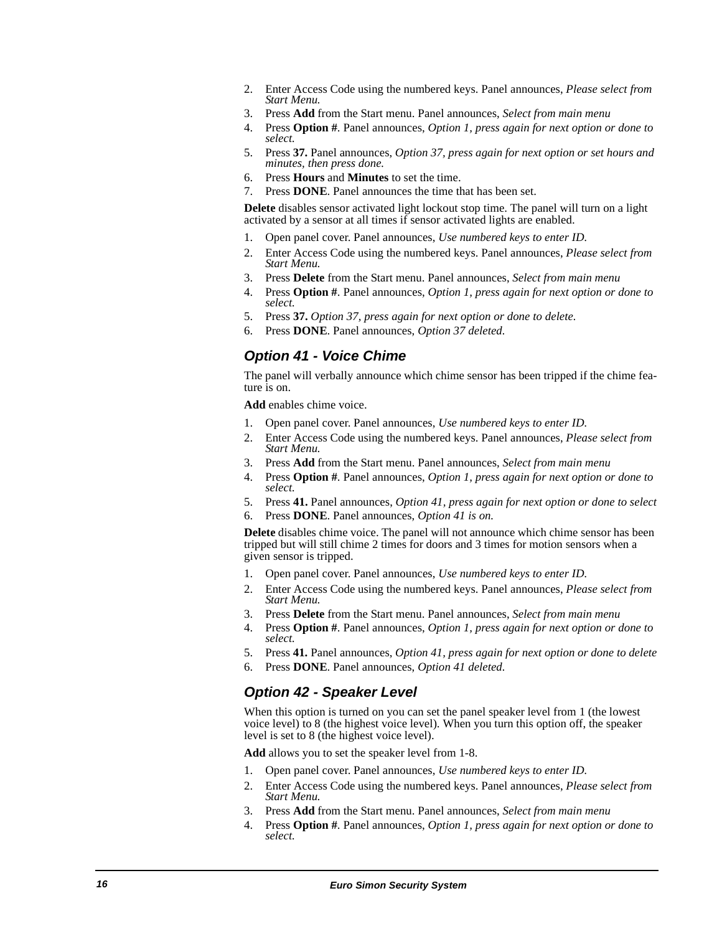- 2. Enter Access Code using the numbered keys. Panel announces, *Please select from Start Menu.*
- 3. Press **Add** from the Start menu. Panel announces, *Select from main menu*
- 4. Press **Option #**. Panel announces, *Option 1, press again for next option or done to select.*
- 5. Press **37.** Panel announces, *Option 37, press again for next option or set hours and minutes, then press done.*
- 6. Press **Hours** and **Minutes** to set the time.
- 7. Press **DONE**. Panel announces the time that has been set.

**Delete** disables sensor activated light lockout stop time. The panel will turn on a light activated by a sensor at all times if sensor activated lights are enabled.

- 1. Open panel cover. Panel announces, *Use numbered keys to enter ID.*
- 2. Enter Access Code using the numbered keys. Panel announces, *Please select from Start Menu.*
- 3. Press **Delete** from the Start menu. Panel announces, *Select from main menu*
- 4. Press **Option #**. Panel announces, *Option 1, press again for next option or done to select.*
- 5. Press **37.** *Option 37, press again for next option or done to delete.*
- 6. Press **DONE**. Panel announces, *Option 37 deleted.*

# **Option 41 - Voice Chime**

The panel will verbally announce which chime sensor has been tripped if the chime feature is on.

**Add** enables chime voice.

- 1. Open panel cover. Panel announces, *Use numbered keys to enter ID.*
- 2. Enter Access Code using the numbered keys. Panel announces, *Please select from Start Menu.*
- 3. Press **Add** from the Start menu. Panel announces, *Select from main menu*
- 4. Press **Option #**. Panel announces, *Option 1, press again for next option or done to select.*
- 5. Press **41.** Panel announces, *Option 41, press again for next option or done to select*
- 6. Press **DONE**. Panel announces, *Option 41 is on.*

**Delete** disables chime voice. The panel will not announce which chime sensor has been tripped but will still chime 2 times for doors and 3 times for motion sensors when a given sensor is tripped.

- 1. Open panel cover. Panel announces, *Use numbered keys to enter ID.*
- 2. Enter Access Code using the numbered keys. Panel announces, *Please select from Start Menu.*
- 3. Press **Delete** from the Start menu. Panel announces, *Select from main menu*
- 4. Press **Option #**. Panel announces, *Option 1, press again for next option or done to select.*
- 5. Press **41.** Panel announces, *Option 41, press again for next option or done to delete*
- 6. Press **DONE**. Panel announces, *Option 41 deleted.*

# **Option 42 - Speaker Level**

When this option is turned on you can set the panel speaker level from 1 (the lowest voice level) to 8 (the highest voice level). When you turn this option off, the speaker level is set to 8 (the highest voice level).

**Add** allows you to set the speaker level from 1-8.

- 1. Open panel cover. Panel announces, *Use numbered keys to enter ID.*
- 2. Enter Access Code using the numbered keys. Panel announces, *Please select from Start Menu.*
- 3. Press **Add** from the Start menu. Panel announces, *Select from main menu*
- 4. Press **Option #**. Panel announces, *Option 1, press again for next option or done to select.*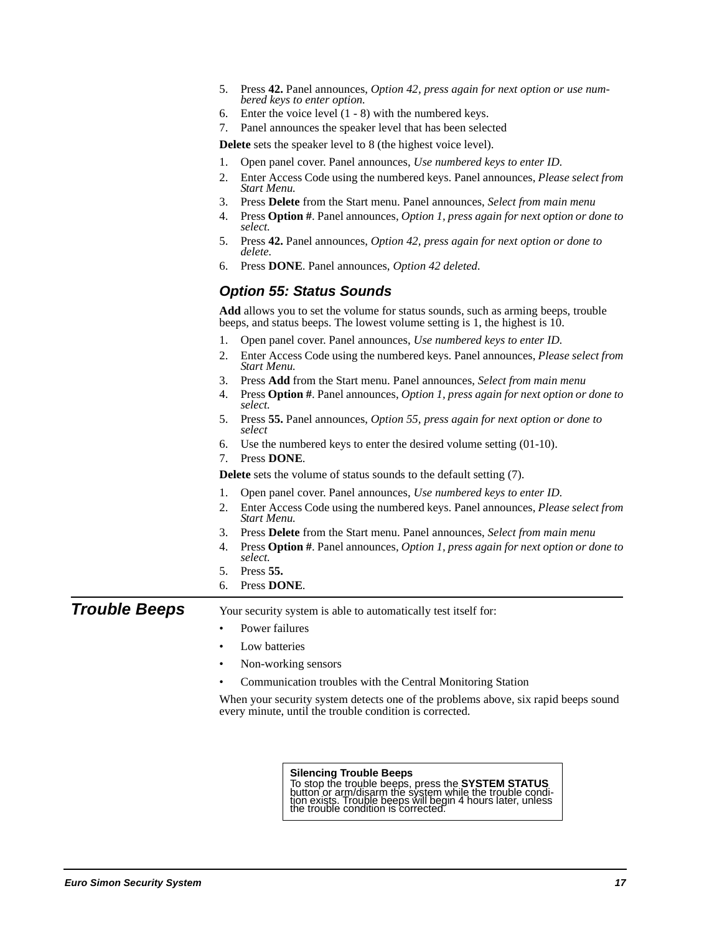- 5. Press **42.** Panel announces, *Option 42, press again for next option or use numbered keys to enter option.*
- 6. Enter the voice level (1 8) with the numbered keys.
- 7. Panel announces the speaker level that has been selected

**Delete** sets the speaker level to 8 (the highest voice level).

- 1. Open panel cover. Panel announces, *Use numbered keys to enter ID.*
- 2. Enter Access Code using the numbered keys. Panel announces, *Please select from Start Menu.*
- 3. Press **Delete** from the Start menu. Panel announces, *Select from main menu*
- 4. Press **Option #**. Panel announces, *Option 1, press again for next option or done to select.*
- 5. Press **42.** Panel announces, *Option 42, press again for next option or done to delete.*
- 6. Press **DONE**. Panel announces, *Option 42 deleted.*

# **Option 55: Status Sounds**

|                      | Add allows you to set the volume for status sounds, such as arming beeps, trouble<br>beeps, and status beeps. The lowest volume setting is 1, the highest is $10$ . |
|----------------------|---------------------------------------------------------------------------------------------------------------------------------------------------------------------|
|                      | Open panel cover. Panel announces, <i>Use numbered keys to enter ID</i> .<br>1.                                                                                     |
|                      | Enter Access Code using the numbered keys. Panel announces, <i>Please select from</i><br>2.<br>Start Menu.                                                          |
|                      | Press Add from the Start menu. Panel announces, Select from main menu<br>3.                                                                                         |
|                      | Press Option #. Panel announces, Option 1, press again for next option or done to<br>4.<br>select.                                                                  |
|                      | Press 55. Panel announces, <i>Option 55, press again for next option or done to</i><br>5.<br>select                                                                 |
|                      | Use the numbered keys to enter the desired volume setting $(01-10)$ .<br>6.<br>Press DONE.<br>7.                                                                    |
|                      | <b>Delete</b> sets the volume of status sounds to the default setting (7).                                                                                          |
|                      | 1.<br>Open panel cover. Panel announces, <i>Use numbered keys to enter ID</i> .                                                                                     |
|                      | 2.<br>Enter Access Code using the numbered keys. Panel announces, Please select from<br>Start Menu.                                                                 |
|                      | Press Delete from the Start menu. Panel announces, Select from main menu<br>3.                                                                                      |
|                      | Press Option #. Panel announces, <i>Option 1, press again for next option or done to</i><br>4.<br>select.                                                           |
|                      | Press 55.<br>5.                                                                                                                                                     |
|                      | Press DONE.<br>6.                                                                                                                                                   |
| <b>Trouble Beeps</b> | Your security system is able to automatically test itself for:                                                                                                      |
|                      | Power failures<br>$\bullet$                                                                                                                                         |
|                      | Low batteries<br>$\bullet$                                                                                                                                          |
|                      | Non-working sensors<br>$\bullet$                                                                                                                                    |
|                      | Communication troubles with the Central Monitoring Station                                                                                                          |
|                      | When your security system detects one of the problems above, six rapid beeps sound<br>every minute, until the trouble condition is corrected.                       |
|                      |                                                                                                                                                                     |

**Silencing Trouble Beeps** To stop the trouble beeps, press the **SYSTEM STATUS**  button or arm/disarm the system while the trouble condi-tion exists. Trouble beeps will begin 4 hours later, unless the trouble condition is corrected.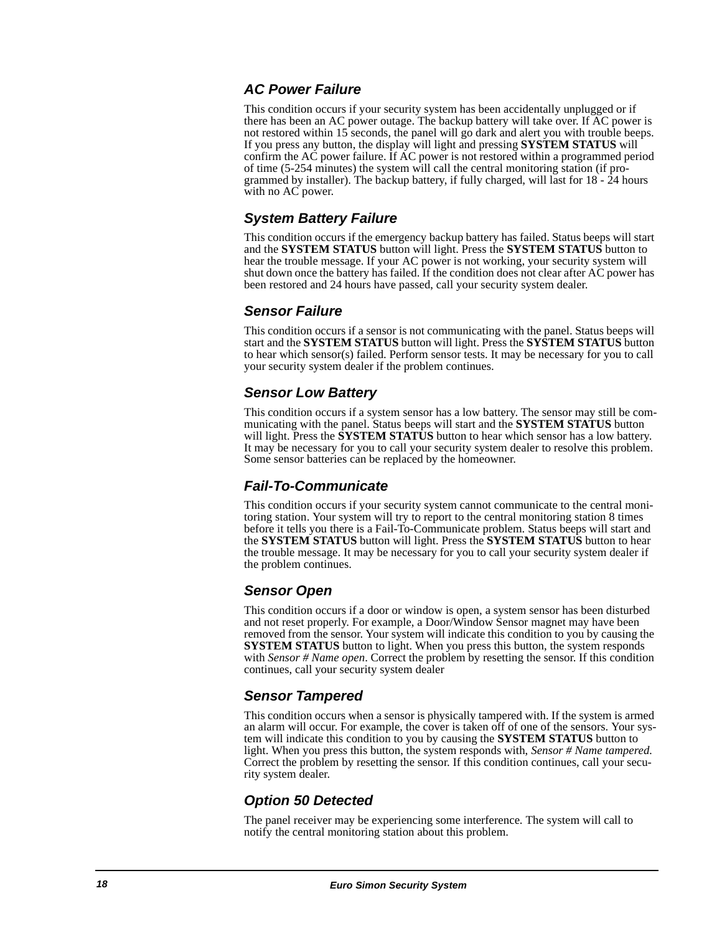# **AC Power Failure**

This condition occurs if your security system has been accidentally unplugged or if there has been an AC power outage. The backup battery will take over. If AC power is not restored within 15 seconds, the panel will go dark and alert you with trouble beeps. If you press any button, the display will light and pressing **SYSTEM STATUS** will confirm the AC power failure. If AC power is not restored within a programmed period of time (5-254 minutes) the system will call the central monitoring station (if programmed by installer). The backup battery, if fully charged, will last for 18 - 24 hours with no AC power.

# **System Battery Failure**

This condition occurs if the emergency backup battery has failed. Status beeps will start and the **SYSTEM STATUS** button will light. Press the **SYSTEM STATUS** button to hear the trouble message. If your AC power is not working, your security system will shut down once the battery has failed. If the condition does not clear after AC power has been restored and 24 hours have passed, call your security system dealer.

# **Sensor Failure**

This condition occurs if a sensor is not communicating with the panel. Status beeps will start and the **SYSTEM STATUS** button will light. Press the **SYSTEM STATUS** button to hear which sensor(s) failed. Perform sensor tests. It may be necessary for you to call your security system dealer if the problem continues.

# **Sensor Low Battery**

This condition occurs if a system sensor has a low battery. The sensor may still be communicating with the panel. Status beeps will start and the **SYSTEM STATUS** button will light. Press the **SYSTEM STATUS** button to hear which sensor has a low battery. It may be necessary for you to call your security system dealer to resolve this problem. Some sensor batteries can be replaced by the homeowner.

# **Fail-To-Communicate**

This condition occurs if your security system cannot communicate to the central monitoring station. Your system will try to report to the central monitoring station 8 times before it tells you there is a Fail-To-Communicate problem. Status beeps will start and the **SYSTEM STATUS** button will light. Press the **SYSTEM STATUS** button to hear the trouble message. It may be necessary for you to call your security system dealer if the problem continues.

# **Sensor Open**

This condition occurs if a door or window is open, a system sensor has been disturbed and not reset properly. For example, a Door/Window Sensor magnet may have been removed from the sensor. Your system will indicate this condition to you by causing the **SYSTEM STATUS** button to light. When you press this button, the system responds with *Sensor # Name open*. Correct the problem by resetting the sensor. If this condition continues, call your security system dealer

# **Sensor Tampered**

This condition occurs when a sensor is physically tampered with. If the system is armed an alarm will occur. For example, the cover is taken off of one of the sensors. Your system will indicate this condition to you by causing the **SYSTEM STATUS** button to light. When you press this button, the system responds with, *Sensor # Name tampered.*  Correct the problem by resetting the sensor. If this condition continues, call your security system dealer.

# **Option 50 Detected**

The panel receiver may be experiencing some interference. The system will call to notify the central monitoring station about this problem.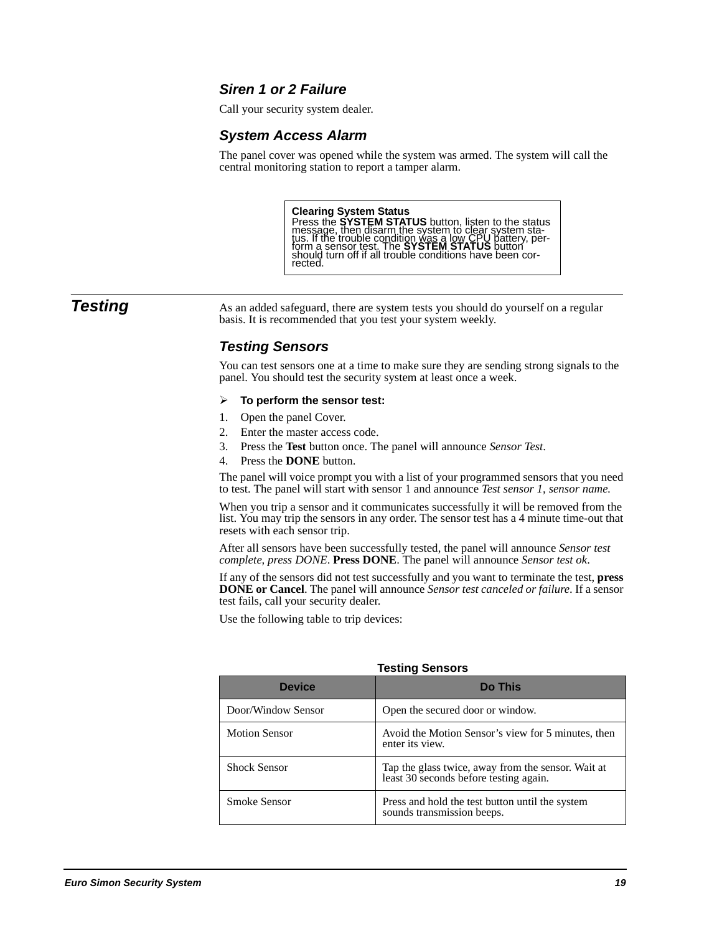# **Siren 1 or 2 Failure**

Call your security system dealer.

# **System Access Alarm**

The panel cover was opened while the system was armed. The system will call the central monitoring station to report a tamper alarm.

> **Clearing System Status** Press the SYSTEM STATUS button, listen to the status<br>message, then disarm the system to clear system sta-<br>tus. If the trouble condition was a low CPU battery, per-<br>form a sensor test. The SYSTEM STATUS button<br>should turn o

**Testing** As an added safeguard, there are system tests you should do yourself on a regular basis. It is recommended that you test your system weekly.

# **Testing Sensors**

You can test sensors one at a time to make sure they are sending strong signals to the panel. You should test the security system at least once a week.

#### $\triangleright$ **To perform the sensor test:**

- 1. Open the panel Cover.
- 2. Enter the master access code.
- 3. Press the **Test** button once. The panel will announce *Sensor Test*.
- 4. Press the **DONE** button.

The panel will voice prompt you with a list of your programmed sensors that you need to test. The panel will start with sensor 1 and announce *Test sensor 1, sensor name.*

When you trip a sensor and it communicates successfully it will be removed from the list. You may trip the sensors in any order. The sensor test has a 4 minute time-out that resets with each sensor trip.

After all sensors have been successfully tested, the panel will announce *Sensor test complete, press DONE*. **Press DONE**. The panel will announce *Sensor test ok*.

If any of the sensors did not test successfully and you want to terminate the test, **press DONE or Cancel**. The panel will announce *Sensor test canceled or failure*. If a sensor test fails, call your security dealer.

Use the following table to trip devices:

| resting sensors      |                                                                                              |  |  |
|----------------------|----------------------------------------------------------------------------------------------|--|--|
| <b>Device</b>        | <b>Do This</b>                                                                               |  |  |
| Door/Window Sensor   | Open the secured door or window.                                                             |  |  |
| <b>Motion Sensor</b> | Avoid the Motion Sensor's view for 5 minutes, then<br>enter its view.                        |  |  |
| <b>Shock Sensor</b>  | Tap the glass twice, away from the sensor. Wait at<br>least 30 seconds before testing again. |  |  |
| <b>Smoke Sensor</b>  | Press and hold the test button until the system<br>sounds transmission beeps.                |  |  |

### **Testing Sensors**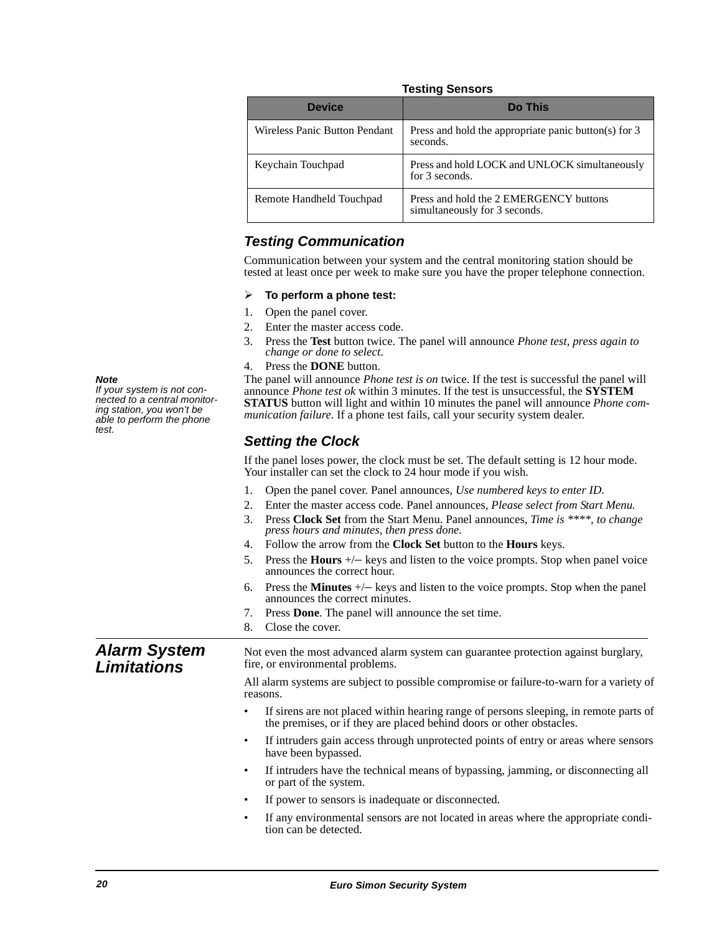| <b>Testing Sensors</b>        |                                                                         |  |  |
|-------------------------------|-------------------------------------------------------------------------|--|--|
| <b>Device</b>                 | <b>Do This</b>                                                          |  |  |
| Wireless Panic Button Pendant | Press and hold the appropriate panic button(s) for 3<br>seconds.        |  |  |
| Keychain Touchpad             | Press and hold LOCK and UNLOCK simultaneously<br>for 3 seconds.         |  |  |
| Remote Handheld Touchpad      | Press and hold the 2 EMERGENCY buttons<br>simultaneously for 3 seconds. |  |  |

# **Testing Communication**

Communication between your system and the central monitoring station should be tested at least once per week to make sure you have the proper telephone connection.

#### $\blacktriangleright$ **To perform a phone test:**

- 1. Open the panel cover.
- 2. Enter the master access code.
- 3. Press the **Test** button twice. The panel will announce *Phone test, press again to change or done to select*.
- 4. Press the **DONE** button.

The panel will announce *Phone test is on* twice. If the test is successful the panel will announce *Phone test ok* within 3 minutes. If the test is unsuccessful, the **SYSTEM STATUS** button will light and within 10 minutes the panel will announce *Phone communication failure*. If a phone test fails, call your security system dealer.

# **Setting the Clock**

If the panel loses power, the clock must be set. The default setting is 12 hour mode. Your installer can set the clock to 24 hour mode if you wish.

- 1. Open the panel cover. Panel announces, *Use numbered keys to enter ID.*
- 2. Enter the master access code. Panel announces, *Please select from Start Menu.*
- 3. Press **Clock Set** from the Start Menu. Panel announces, *Time is \*\*\*\*, to change press hours and minutes, then press done.*
- 4. Follow the arrow from the **Clock Set** button to the **Hours** keys.
- 5. Press the **Hours** +/– keys and listen to the voice prompts. Stop when panel voice announces the correct hour.
- 6. Press the **Minutes** +/– keys and listen to the voice prompts. Stop when the panel announces the correct minutes.
- 7. Press **Done**. The panel will announce the set time.
- 8. Close the cover.

### **Alarm System Limitations** Not even the most advanced alarm system can guarantee protection against burglary, fire, or environmental problems. All alarm systems are subject to possible compromise or failure-to-warn for a variety of reasons. If sirens are not placed within hearing range of persons sleeping, in remote parts of the premises, or if they are placed behind doors or other obstacles. • If intruders gain access through unprotected points of entry or areas where sensors

- have been bypassed. If intruders have the technical means of bypassing, jamming, or disconnecting all or part of the system.
- If power to sensors is inadequate or disconnected.
- If any environmental sensors are not located in areas where the appropriate condition can be detected.

# **Note**

If your system is not connected to a central monitoring station, you won't be able to perform the phone test.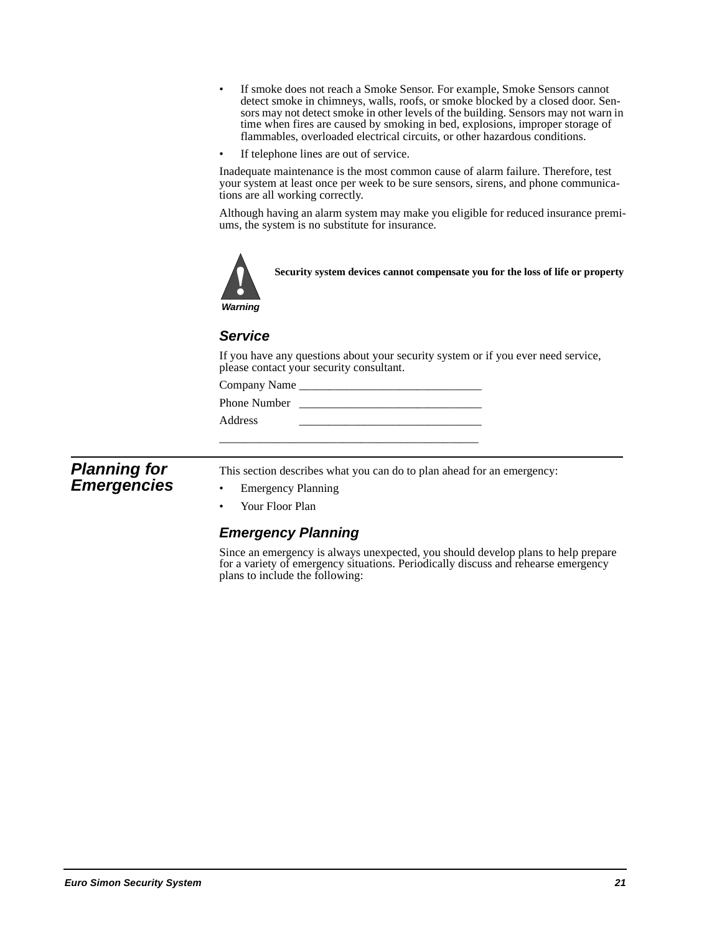- If smoke does not reach a Smoke Sensor. For example, Smoke Sensors cannot detect smoke in chimneys, walls, roofs, or smoke blocked by a closed door. Sensors may not detect smoke in other levels of the building. Sensors may not warn in time when fires are caused by smoking in bed, explosions, improper storage of flammables, overloaded electrical circuits, or other hazardous conditions.
- If telephone lines are out of service.

Inadequate maintenance is the most common cause of alarm failure. Therefore, test your system at least once per week to be sure sensors, sirens, and phone communications are all working correctly.

Although having an alarm system may make you eligible for reduced insurance premiums, the system is no substitute for insurance.



**Security system devices cannot compensate you for the loss of life or property**

**Warning**

# **Service**

If you have any questions about your security system or if you ever need service, please contact your security consultant.

Company Name

Phone Number \_\_\_\_\_\_\_\_\_\_\_\_\_\_\_\_\_\_\_\_\_\_\_\_\_\_\_\_\_\_\_ Address \_\_\_\_\_\_\_\_\_\_\_\_\_\_\_\_\_\_\_\_\_\_\_\_\_\_\_\_\_\_\_

\_\_\_\_\_\_\_\_\_\_\_\_\_\_\_\_\_\_\_\_\_\_\_\_\_\_\_\_\_\_\_\_\_\_\_\_\_\_\_\_\_\_\_\_

# **Planning for Emergencies**

This section describes what you can do to plan ahead for an emergency:

- **Emergency Planning**
- Your Floor Plan

# **Emergency Planning**

Since an emergency is always unexpected, you should develop plans to help prepare for a variety of emergency situations. Periodically discuss and rehearse emergency plans to include the following: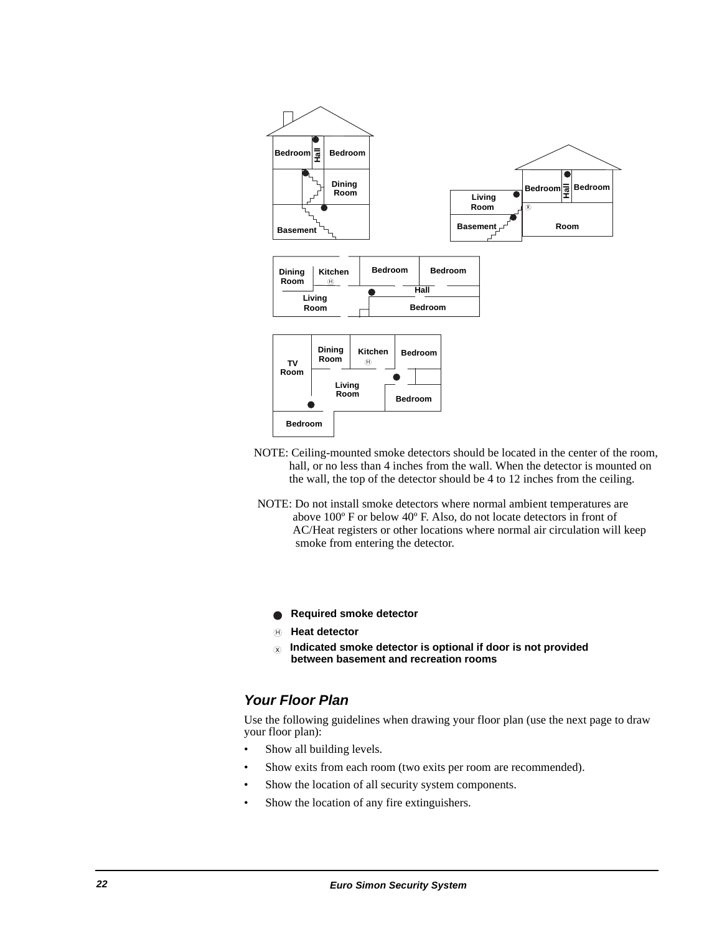

- NOTE: Ceiling-mounted smoke detectors should be located in the center of the room, hall, or no less than 4 inches from the wall. When the detector is mounted on the wall, the top of the detector should be 4 to 12 inches from the ceiling.
- NOTE: Do not install smoke detectors where normal ambient temperatures are above 100º F or below 40º F. Also, do not locate detectors in front of AC/Heat registers or other locations where normal air circulation will keep smoke from entering the detector.

### **Required smoke detector**

- ļ  $(A)$ **Heat detector**
- **Indicated smoke detector is optional if door is not provided**  $\circledR$ **between basement and recreation rooms**

# **Your Floor Plan**

Use the following guidelines when drawing your floor plan (use the next page to draw your floor plan):

- Show all building levels.
- Show exits from each room (two exits per room are recommended).
- Show the location of all security system components.
- Show the location of any fire extinguishers.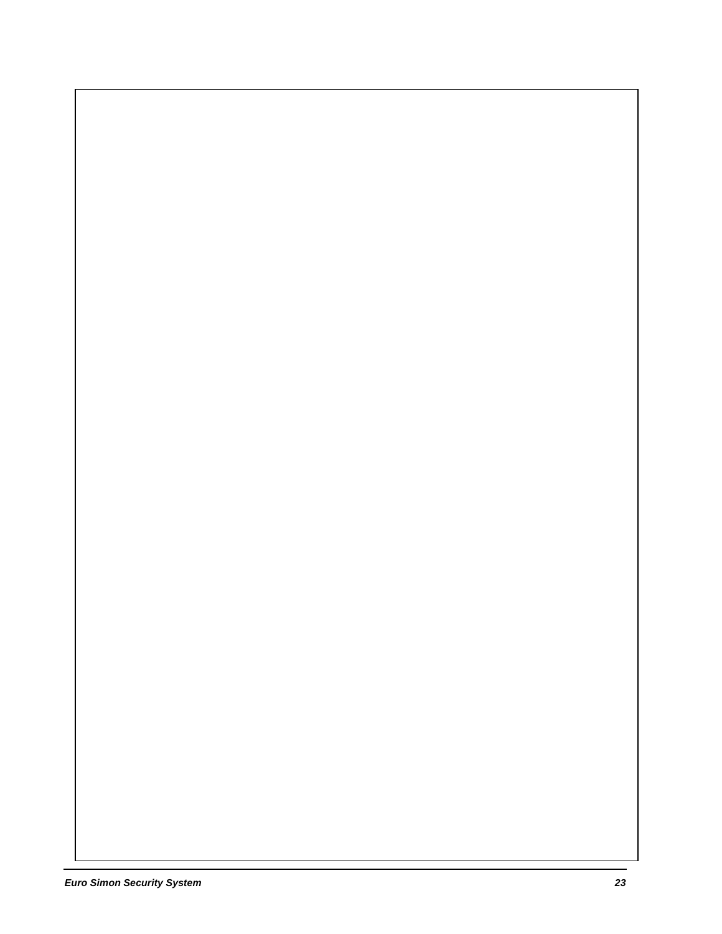**Euro Simon Security System 23**